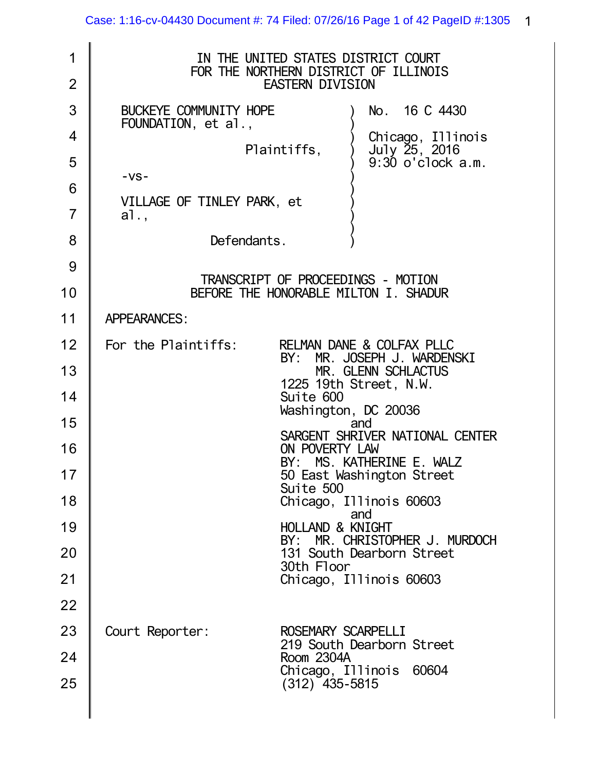| 1<br>$\overline{2}$ | IN THE UNITED STATES DISTRICT COURT<br>FOR THE NORTHERN DISTRICT OF ILLINOIS<br><b>EASTERN DIVISION</b> |
|---------------------|---------------------------------------------------------------------------------------------------------|
| 3                   | No. 16 C 4430<br>BUCKEYE COMMUNITY HOPE<br>FOUNDATION, et al.,                                          |
| $\overline{4}$      | Chicago, Illinois<br>July 25, 2016<br>Plaintiffs,                                                       |
| 5                   | $9:30$ o'clock $a.m.$<br>$-VS -$                                                                        |
| 6                   | VILLAGE OF TINLEY PARK, et                                                                              |
| $\overline{7}$      | a1.,                                                                                                    |
| 8                   | Defendants.                                                                                             |
| 9                   | TRANSCRIPT OF PROCEEDINGS - MOTION                                                                      |
| 10                  | BEFORE THE HONORABLE MILTON I. SHADUR                                                                   |
| 11                  | <b>APPEARANCES:</b>                                                                                     |
| 12                  | For the Plaintiffs:<br>RELMAN DANE & COLFAX PLLC<br>BY: MR. JOSEPH J. WARDENSKI                         |
| 13                  | MR. GLENN SCHLACTUS                                                                                     |
| 14                  | 1225 19th Street, N.W.<br>Suite 600<br>Washington, DC 20036                                             |
| 15                  | and<br>SARGENT SHRIVER NATIONAL CENTER                                                                  |
| 16                  | ON POVERTY LAW<br>BY: MS. KATHERINE E. WALZ                                                             |
| 17                  | 50 East Washington Street<br>Suite 500                                                                  |
| 18                  | Chicago, Illinois 60603<br>and                                                                          |
| 19                  | <b>HOLLAND &amp; KNIGHT</b><br>BY: MR. CHRISTOPHER J. MURDOCH                                           |
| 20                  | 131 South Dearborn Street<br>30th Floor                                                                 |
| 21                  | Chicago, Illinois 60603                                                                                 |
| 22                  |                                                                                                         |
| 23                  | Court Reporter:<br>ROSEMARY SCARPELLI                                                                   |
| 24                  | 219 South Dearborn Street<br>Room 2304A                                                                 |
| 25                  | Chicago, Illinois 60604<br>$(312)$ 435-5815                                                             |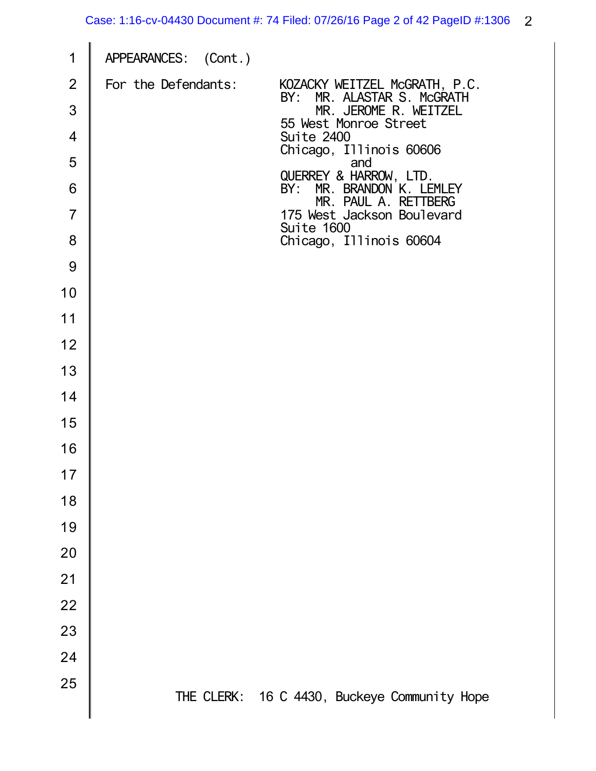| 1              | APPEARANCES: (Cont.) |                                                                |
|----------------|----------------------|----------------------------------------------------------------|
| $\overline{2}$ | For the Defendants:  | KOZACKY WEITZEL McGRATH, P.C.<br>MR. ALASTAR S. McGRATH<br>BY: |
| 3              |                      | MR. JEROME R. WEITZEL<br>55 West Monroe Street                 |
| $\overline{4}$ |                      | Suite 2400<br>Chicago, Illinois 60606                          |
| 5              |                      | and<br>QUERREY & HARROW, LTD.                                  |
| 6              |                      | MR. BRANDON K. LEMLEY<br>BY:<br>MR. PAUL A. RETTBERG           |
| $\overline{7}$ |                      | 175 West Jackson Boulevard<br>Suite 1600                       |
| 8              |                      | Chicago, Illinois 60604                                        |
| 9              |                      |                                                                |
| 10             |                      |                                                                |
| 11             |                      |                                                                |
| 12             |                      |                                                                |
| 13             |                      |                                                                |
| 14             |                      |                                                                |
| 15             |                      |                                                                |
| 16             |                      |                                                                |
| 17             |                      |                                                                |
| 18             |                      |                                                                |
| 19             |                      |                                                                |
| 20             |                      |                                                                |
| 21             |                      |                                                                |
| 22             |                      |                                                                |
| 23             |                      |                                                                |
| 24             |                      |                                                                |
| 25             |                      | THE CLERK: 16 C 4430, Buckeye Community Hope                   |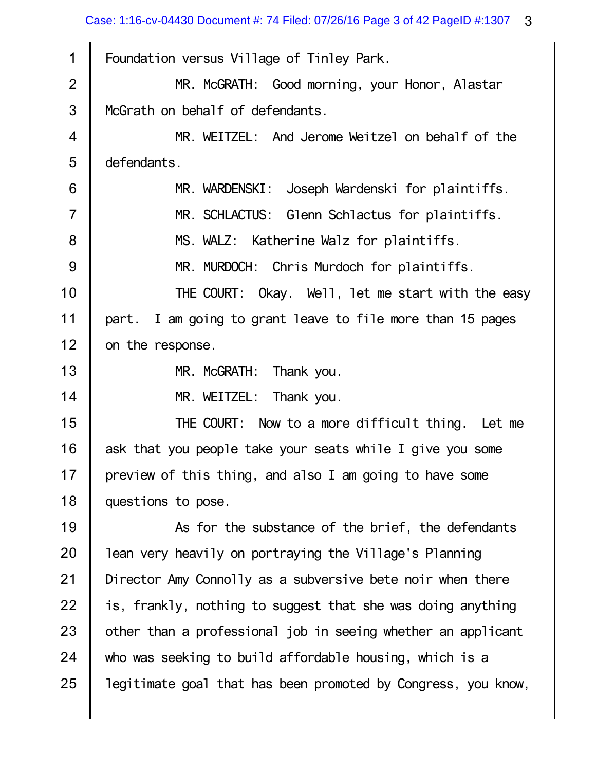1 2 3 4 5 6 7 8 9 10 11 12 13 14 15 16 17 18 19 20 21 22 23 24 25 Foundation versus Village of Tinley Park. MR. McGRATH: Good morning, your Honor, Alastar McGrath on behalf of defendants. MR. WEITZEL: And Jerome Weitzel on behalf of the defendants. MR. WARDENSKI: Joseph Wardenski for plaintiffs. MR. SCHLACTUS: Glenn Schlactus for plaintiffs. MS. WALZ: Katherine Walz for plaintiffs. MR. MURDOCH: Chris Murdoch for plaintiffs. THE COURT: Okay. Well, let me start with the easy part. I am going to grant leave to file more than 15 pages on the response. MR. McGRATH: Thank you. MR. WEITZEL: Thank you. THE COURT: Now to a more difficult thing. Let me ask that you people take your seats while I give you some preview of this thing, and also I am going to have some questions to pose. As for the substance of the brief, the defendants lean very heavily on portraying the Village's Planning Director Amy Connolly as a subversive bete noir when there is, frankly, nothing to suggest that she was doing anything other than a professional job in seeing whether an applicant who was seeking to build affordable housing, which is a legitimate goal that has been promoted by Congress, you know,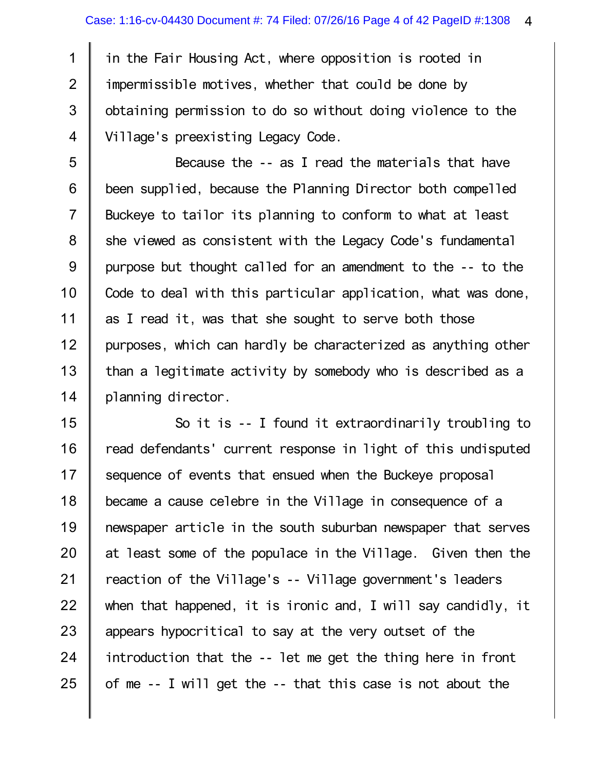1 3 4 in the Fair Housing Act, where opposition is rooted in impermissible motives, whether that could be done by obtaining permission to do so without doing violence to the Village's preexisting Legacy Code.

5 6 7 8 9 10 11 12 13 14 Because the -- as I read the materials that have been supplied, because the Planning Director both compelled Buckeye to tailor its planning to conform to what at least she viewed as consistent with the Legacy Code's fundamental purpose but thought called for an amendment to the -- to the Code to deal with this particular application, what was done, as I read it, was that she sought to serve both those purposes, which can hardly be characterized as anything other than a legitimate activity by somebody who is described as a planning director.

15 16 17 18 19 20 21 22 23 24 25 So it is -- I found it extraordinarily troubling to read defendants' current response in light of this undisputed sequence of events that ensued when the Buckeye proposal became a cause celebre in the Village in consequence of a newspaper article in the south suburban newspaper that serves at least some of the populace in the Village. Given then the reaction of the Village's -- Village government's leaders when that happened, it is ironic and, I will say candidly, it appears hypocritical to say at the very outset of the introduction that the -- let me get the thing here in front of me -- I will get the -- that this case is not about the

2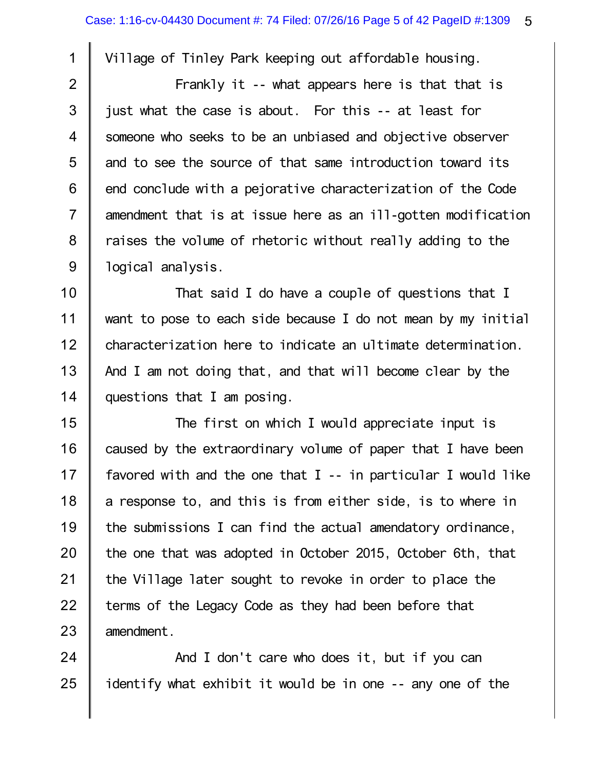1 2

3

4

5

6

7

8

9

Village of Tinley Park keeping out affordable housing.

Frankly it -- what appears here is that that is just what the case is about. For this -- at least for someone who seeks to be an unbiased and objective observer and to see the source of that same introduction toward its end conclude with a pejorative characterization of the Code amendment that is at issue here as an ill-gotten modification raises the volume of rhetoric without really adding to the logical analysis.

10 11 12 13 14 That said I do have a couple of questions that I want to pose to each side because I do not mean by my initial characterization here to indicate an ultimate determination. And I am not doing that, and that will become clear by the questions that I am posing.

15 16 17 18 19 20 21 22 23 The first on which I would appreciate input is caused by the extraordinary volume of paper that I have been favored with and the one that  $I - -$  in particular I would like a response to, and this is from either side, is to where in the submissions I can find the actual amendatory ordinance, the one that was adopted in October 2015, October 6th, that the Village later sought to revoke in order to place the terms of the Legacy Code as they had been before that amendment.

24 25 And I don't care who does it, but if you can identify what exhibit it would be in one -- any one of the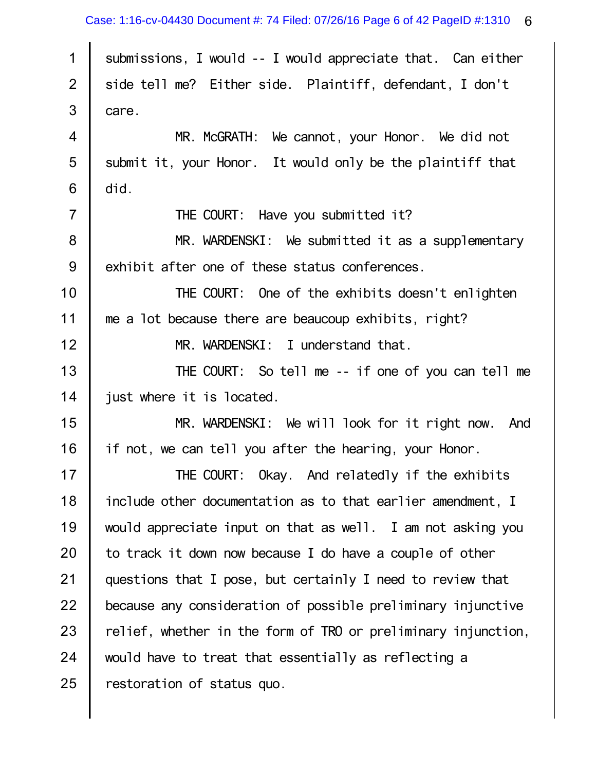| $\mathbf 1$    | submissions, I would -- I would appreciate that. Can either   |
|----------------|---------------------------------------------------------------|
| $\mathbf{2}$   | side tell me? Either side. Plaintiff, defendant, I don't      |
| $\mathfrak{S}$ | care.                                                         |
| $\overline{4}$ | MR. McGRATH: We cannot, your Honor. We did not                |
| 5              | submit it, your Honor. It would only be the plaintiff that    |
| 6              | did.                                                          |
| $\overline{7}$ | THE COURT: Have you submitted it?                             |
| $\bf 8$        | MR. WARDENSKI: We submitted it as a supplementary             |
| 9              | exhibit after one of these status conferences.                |
| 10             | THE COURT: One of the exhibits doesn't enlighten              |
| 11             | me a lot because there are beaucoup exhibits, right?          |
| 12             | MR. WARDENSKI: I understand that.                             |
| 13             | THE COURT: So tell me -- if one of you can tell me            |
| 14             | just where it is located.                                     |
| 15             | MR. WARDENSKI: We will look for it right now. And             |
| 16             | if not, we can tell you after the hearing, your Honor.        |
| 17             | THE COURT: Okay. And relatedly if the exhibits                |
| 18             | include other documentation as to that earlier amendment, I   |
| 19             | would appreciate input on that as well. I am not asking you   |
| 20             | to track it down now because I do have a couple of other      |
| 21             | questions that I pose, but certainly I need to review that    |
| 22             | because any consideration of possible preliminary injunctive  |
| 23             | relief, whether in the form of TRO or preliminary injunction, |
| 24             | would have to treat that essentially as reflecting a          |
| 25             | restoration of status quo.                                    |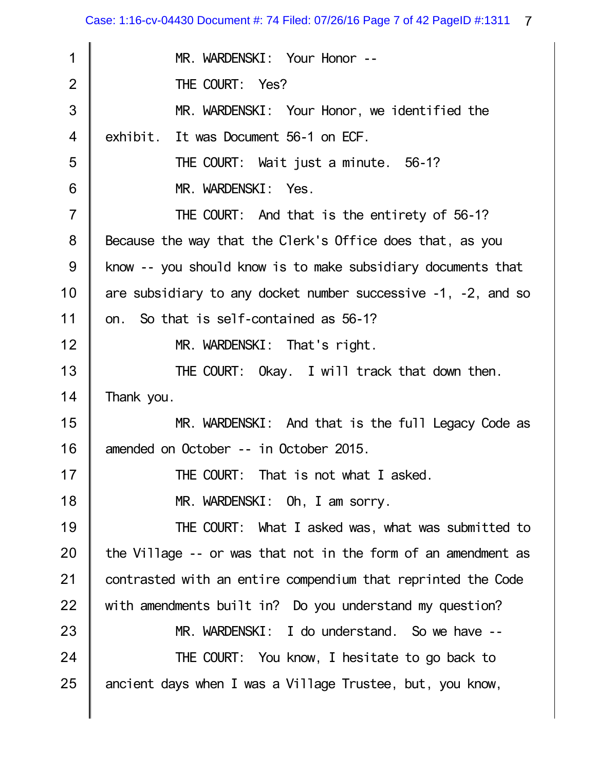| 1              | MR. WARDENSKI: Your Honor --                                        |
|----------------|---------------------------------------------------------------------|
| $\overline{2}$ | THE COURT: Yes?                                                     |
| 3              | MR. WARDENSKI: Your Honor, we identified the                        |
| 4              | exhibit. It was Document 56-1 on ECF.                               |
| 5              | THE COURT: Wait just a minute. 56-1?                                |
| 6              | MR. WARDENSKI: Yes.                                                 |
| $\overline{7}$ | THE COURT: And that is the entirety of 56-1?                        |
| 8              | Because the way that the Clerk's Office does that, as you           |
| 9              | know -- you should know is to make subsidiary documents that        |
| 10             | are subsidiary to any docket number successive $-1$ , $-2$ , and so |
| 11             | on. So that is self-contained as 56-1?                              |
| 12             | MR. WARDENSKI: That's right.                                        |
| 13             | THE COURT: Okay. I will track that down then.                       |
| 14             | Thank you.                                                          |
| 15             | MR. WARDENSKI: And that is the full Legacy Code as                  |
| 16             | amended on October -- in October 2015.                              |
| 17             | THE COURT: That is not what I asked.                                |
| 18             | MR. WARDENSKI: Oh, I am sorry.                                      |
| 19             | THE COURT: What I asked was, what was submitted to                  |
| 20             | the Village -- or was that not in the form of an amendment as       |
| 21             | contrasted with an entire compendium that reprinted the Code        |
| 22             | with amendments built in? Do you understand my question?            |
| 23             | MR. WARDENSKI: I do understand. So we have --                       |
| 24             | THE COURT: You know, I hesitate to go back to                       |
| 25             | ancient days when I was a Village Trustee, but, you know,           |
|                |                                                                     |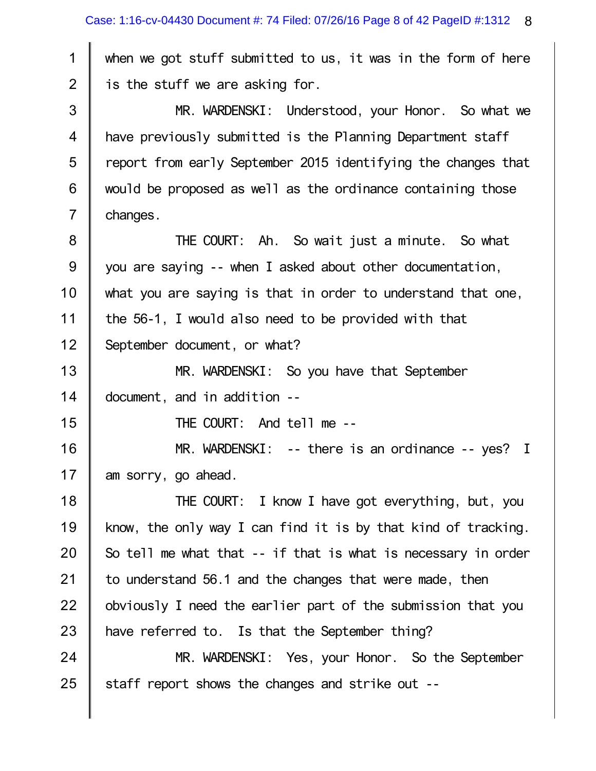when we got stuff submitted to us, it was in the form of here is the stuff we are asking for.

1

2

15

3 4 5 6 7 MR. WARDENSKI: Understood, your Honor. So what we have previously submitted is the Planning Department staff report from early September 2015 identifying the changes that would be proposed as well as the ordinance containing those changes.

8 9 10 11 12 THE COURT: Ah. So wait just a minute. So what you are saying -- when I asked about other documentation, what you are saying is that in order to understand that one, the 56-1, I would also need to be provided with that September document, or what?

13 14 MR. WARDENSKI: So you have that September document, and in addition --

THE COURT: And tell me --

16 17 MR. WARDENSKI: -- there is an ordinance -- yes? I am sorry, go ahead.

18 19 20 21 22 23 THE COURT: I know I have got everything, but, you know, the only way I can find it is by that kind of tracking. So tell me what that -- if that is what is necessary in order to understand 56.1 and the changes that were made, then obviously I need the earlier part of the submission that you have referred to. Is that the September thing?

24 25 MR. WARDENSKI: Yes, your Honor. So the September staff report shows the changes and strike out --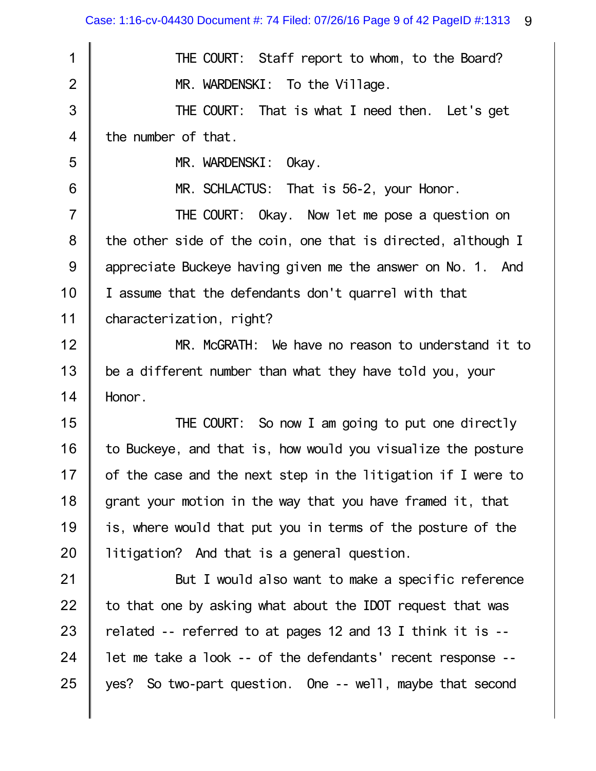| 1              | THE COURT: Staff report to whom, to the Board?               |
|----------------|--------------------------------------------------------------|
| $\overline{2}$ | MR. WARDENSKI: To the Village.                               |
| 3              | THE COURT: That is what I need then. Let's get               |
| $\overline{4}$ | the number of that.                                          |
| 5              | MR. WARDENSKI:<br>0kay.                                      |
| 6              | MR. SCHLACTUS: That is 56-2, your Honor.                     |
| $\overline{7}$ | THE COURT: Okay. Now let me pose a question on               |
| $\bf 8$        | the other side of the coin, one that is directed, although I |
| $9\,$          | appreciate Buckeye having given me the answer on No. 1. And  |
| 10             | I assume that the defendants don't quarrel with that         |
| 11             | characterization, right?                                     |
| 12             | MR. McGRATH: We have no reason to understand it to           |
| 13             | be a different number than what they have told you, your     |
| 14             | Honor.                                                       |
| 15             | THE COURT: So now I am going to put one directly             |
| 16             | to Buckeye, and that is, how would you visualize the posture |
| 17             | of the case and the next step in the litigation if I were to |
| 18             | grant your motion in the way that you have framed it, that   |
| 19             | is, where would that put you in terms of the posture of the  |
| 20             | litigation? And that is a general question.                  |
| 21             | But I would also want to make a specific reference           |
| 22             | to that one by asking what about the IDOT request that was   |
| 23             | related -- referred to at pages 12 and 13 I think it is --   |
| 24             | let me take a look -- of the defendants' recent response --  |
| 25             | yes? So two-part question. One -- well, maybe that second    |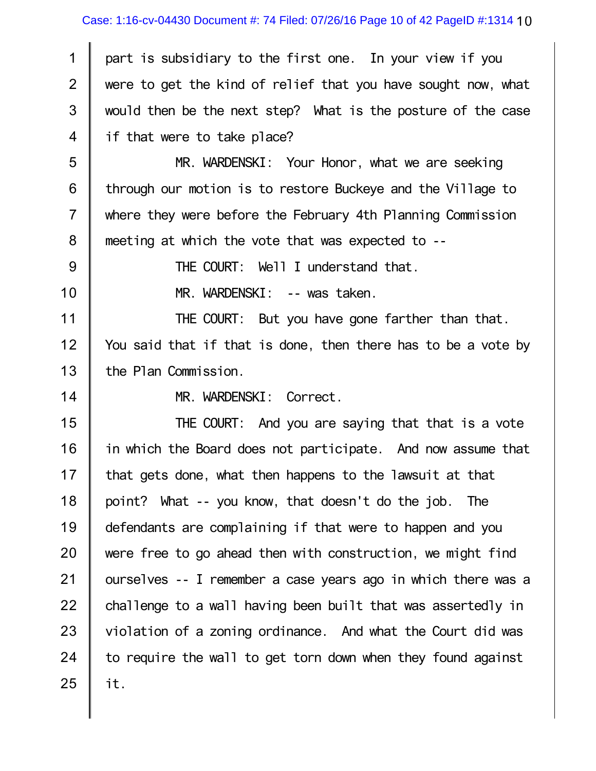1 2 3 4 part is subsidiary to the first one. In your view if you were to get the kind of relief that you have sought now, what would then be the next step? What is the posture of the case if that were to take place?

5 6 7 8 MR. WARDENSKI: Your Honor, what we are seeking through our motion is to restore Buckeye and the Village to where they were before the February 4th Planning Commission meeting at which the vote that was expected to --

THE COURT: Well I understand that.

10

9

MR. WARDENSKI: -- was taken.

11 12 13 THE COURT: But you have gone farther than that. You said that if that is done, then there has to be a vote by the Plan Commission.

14

MR. WARDENSKI: Correct.

15 16 17 18 19 20 21 22 23 24 25 THE COURT: And you are saying that that is a vote in which the Board does not participate. And now assume that that gets done, what then happens to the lawsuit at that point? What -- you know, that doesn't do the job. The defendants are complaining if that were to happen and you were free to go ahead then with construction, we might find ourselves -- I remember a case years ago in which there was a challenge to a wall having been built that was assertedly in violation of a zoning ordinance. And what the Court did was to require the wall to get torn down when they found against it.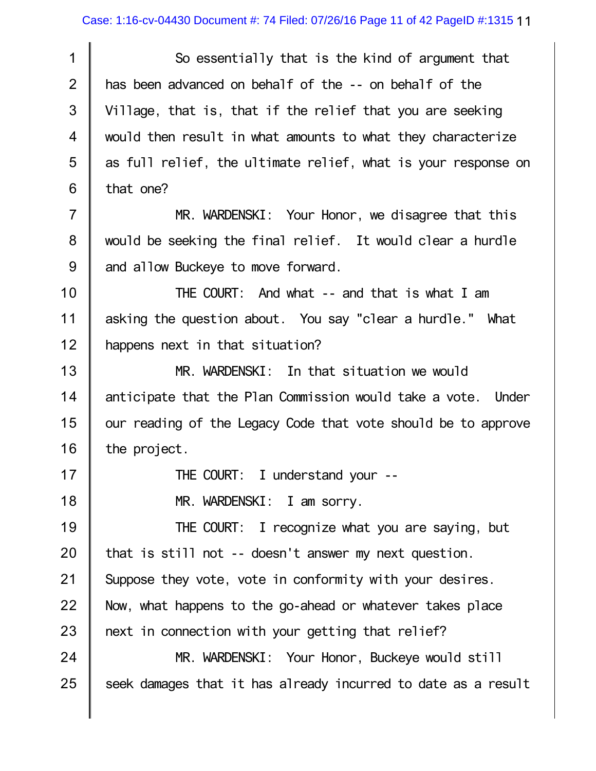1 2 3 4 5 6 So essentially that is the kind of argument that has been advanced on behalf of the -- on behalf of the Village, that is, that if the relief that you are seeking would then result in what amounts to what they characterize as full relief, the ultimate relief, what is your response on that one?

7 8 9 MR. WARDENSKI: Your Honor, we disagree that this would be seeking the final relief. It would clear a hurdle and allow Buckeye to move forward.

10 11 12 THE COURT: And what -- and that is what I am asking the question about. You say "clear a hurdle." What happens next in that situation?

13 14 15 16 MR. WARDENSKI: In that situation we would anticipate that the Plan Commission would take a vote. Under our reading of the Legacy Code that vote should be to approve the project.

THE COURT: I understand your --

MR. WARDENSKI: I am sorry.

17

18

19 20 21 22 23 24 25 THE COURT: I recognize what you are saying, but that is still not -- doesn't answer my next question. Suppose they vote, vote in conformity with your desires. Now, what happens to the go-ahead or whatever takes place next in connection with your getting that relief? MR. WARDENSKI: Your Honor, Buckeye would still seek damages that it has already incurred to date as a result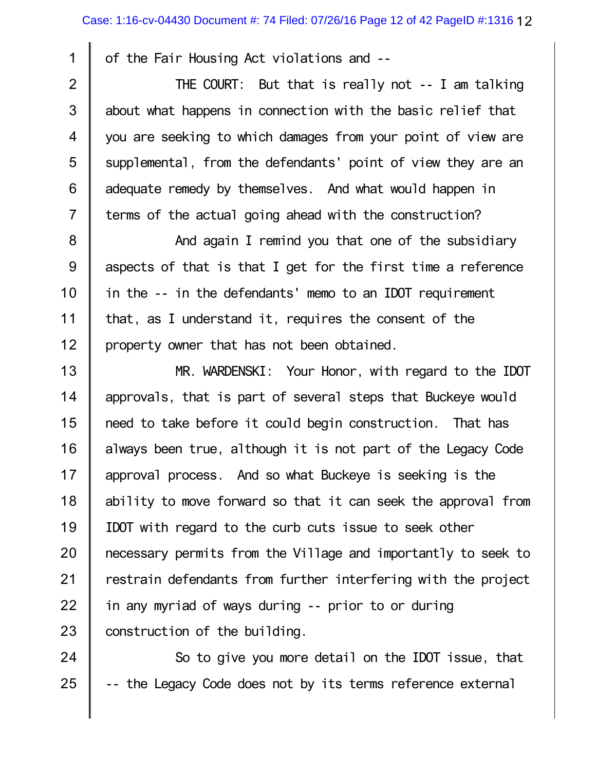of the Fair Housing Act violations and --

1

2

3

4

5

6

7

THE COURT: But that is really not -- I am talking about what happens in connection with the basic relief that you are seeking to which damages from your point of view are supplemental, from the defendants' point of view they are an adequate remedy by themselves. And what would happen in terms of the actual going ahead with the construction?

8 9 10 11 12 And again I remind you that one of the subsidiary aspects of that is that I get for the first time a reference in the -- in the defendants' memo to an IDOT requirement that, as I understand it, requires the consent of the property owner that has not been obtained.

13 14 15 16 17 18 19 20 21 22 23 MR. WARDENSKI: Your Honor, with regard to the IDOT approvals, that is part of several steps that Buckeye would need to take before it could begin construction. That has always been true, although it is not part of the Legacy Code approval process. And so what Buckeye is seeking is the ability to move forward so that it can seek the approval from IDOT with regard to the curb cuts issue to seek other necessary permits from the Village and importantly to seek to restrain defendants from further interfering with the project in any myriad of ways during -- prior to or during construction of the building.

24 25 So to give you more detail on the IDOT issue, that -- the Legacy Code does not by its terms reference external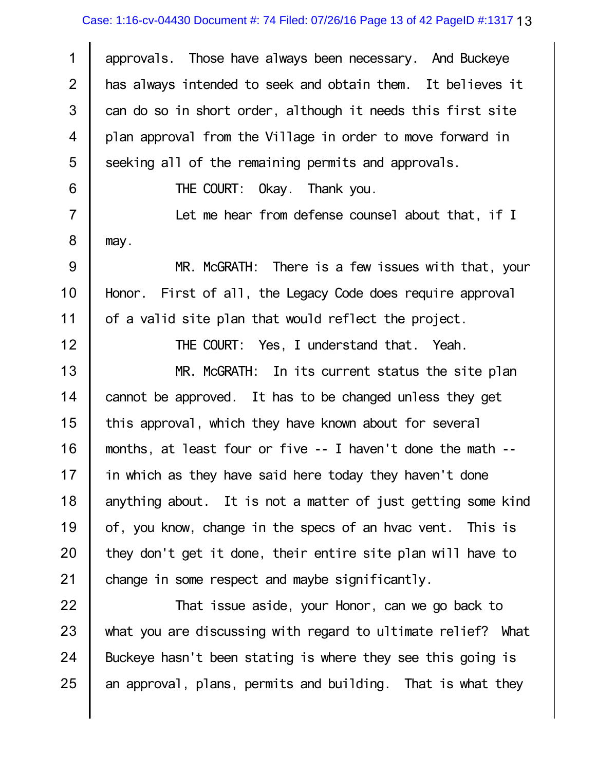## Case: 1:16-cv-04430 Document #: 74 Filed: 07/26/16 Page 13 of 42 PageID #:1317 13

1 2 3 4 5 approvals. Those have always been necessary. And Buckeye has always intended to seek and obtain them. It believes it can do so in short order, although it needs this first site plan approval from the Village in order to move forward in seeking all of the remaining permits and approvals.

THE COURT: Okay. Thank you.

6

12

7 8 Let me hear from defense counsel about that, if I may.

9 10 11 MR. McGRATH: There is a few issues with that, your Honor. First of all, the Legacy Code does require approval of a valid site plan that would reflect the project.

THE COURT: Yes, I understand that. Yeah.

13 14 15 16 17 18 19 20 21 MR. McGRATH: In its current status the site plan cannot be approved. It has to be changed unless they get this approval, which they have known about for several months, at least four or five -- I haven't done the math - in which as they have said here today they haven't done anything about. It is not a matter of just getting some kind of, you know, change in the specs of an hvac vent. This is they don't get it done, their entire site plan will have to change in some respect and maybe significantly.

22 23 24 25 That issue aside, your Honor, can we go back to what you are discussing with regard to ultimate relief? What Buckeye hasn't been stating is where they see this going is an approval, plans, permits and building. That is what they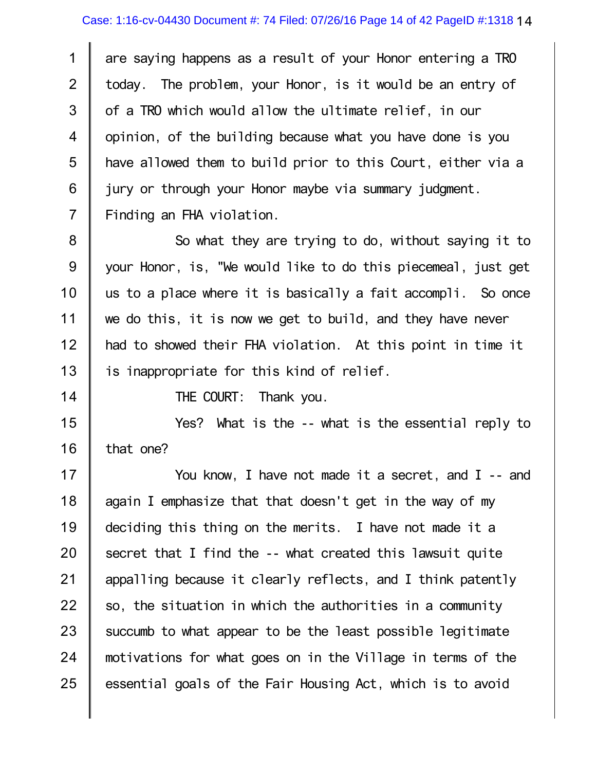1 2 3 4 5 6 7 are saying happens as a result of your Honor entering a TRO today. The problem, your Honor, is it would be an entry of of a TRO which would allow the ultimate relief, in our opinion, of the building because what you have done is you have allowed them to build prior to this Court, either via a jury or through your Honor maybe via summary judgment. Finding an FHA violation.

8 9 10 11 12 13 So what they are trying to do, without saying it to your Honor, is, "We would like to do this piecemeal, just get us to a place where it is basically a fait accompli. So once we do this, it is now we get to build, and they have never had to showed their FHA violation. At this point in time it is inappropriate for this kind of relief.

14

THE COURT: Thank you.

15 16 Yes? What is the -- what is the essential reply to that one?

17 18 19 20 21 22 23 24 25 You know, I have not made it a secret, and I -- and again I emphasize that that doesn't get in the way of my deciding this thing on the merits. I have not made it a secret that I find the -- what created this lawsuit quite appalling because it clearly reflects, and I think patently so, the situation in which the authorities in a community succumb to what appear to be the least possible legitimate motivations for what goes on in the Village in terms of the essential goals of the Fair Housing Act, which is to avoid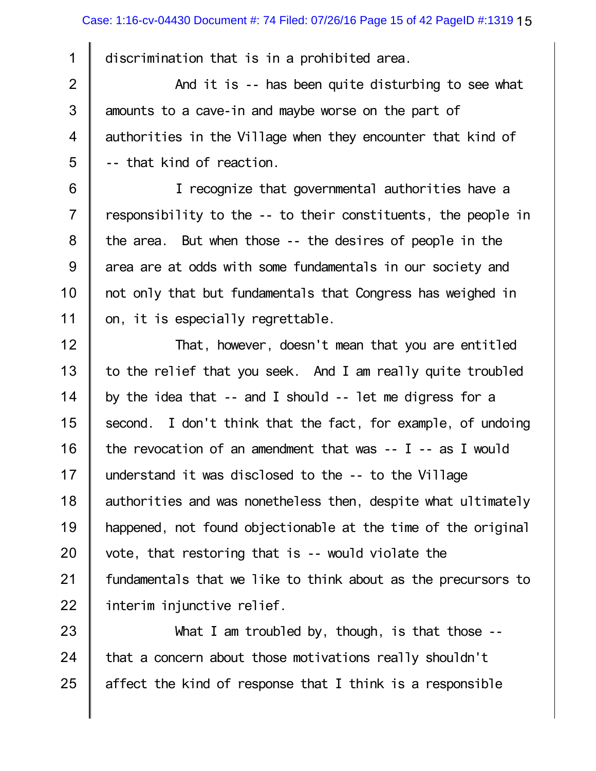discrimination that is in a prohibited area.

1

2 3 4 5 And it is -- has been quite disturbing to see what amounts to a cave-in and maybe worse on the part of authorities in the Village when they encounter that kind of -- that kind of reaction.

6 7 8 9 10 11 I recognize that governmental authorities have a responsibility to the -- to their constituents, the people in the area. But when those -- the desires of people in the area are at odds with some fundamentals in our society and not only that but fundamentals that Congress has weighed in on, it is especially regrettable.

12 13 14 15 16 17 18 19 20 21 22 That, however, doesn't mean that you are entitled to the relief that you seek. And I am really quite troubled by the idea that -- and I should -- let me digress for a second. I don't think that the fact, for example, of undoing the revocation of an amendment that was -- I -- as I would understand it was disclosed to the -- to the Village authorities and was nonetheless then, despite what ultimately happened, not found objectionable at the time of the original vote, that restoring that is -- would violate the fundamentals that we like to think about as the precursors to interim injunctive relief.

23 24 25 What I am troubled by, though, is that those - that a concern about those motivations really shouldn't affect the kind of response that I think is a responsible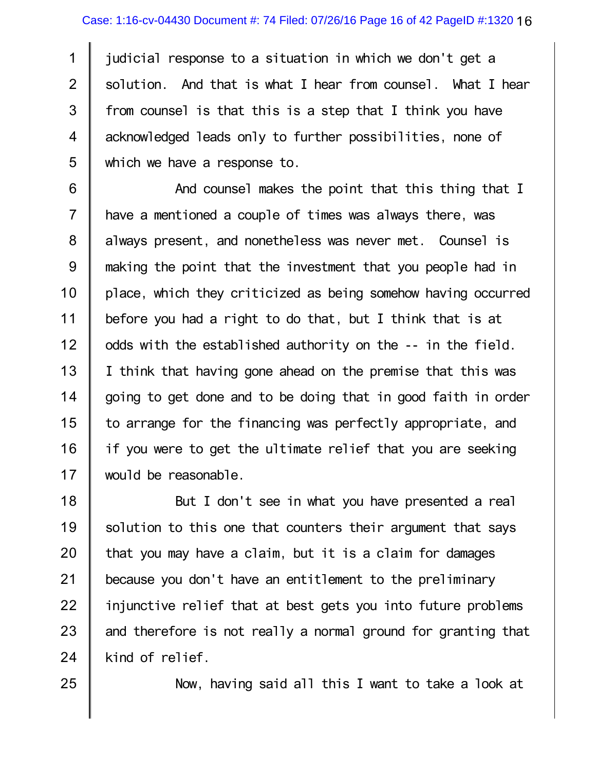1 2 3 4 5 judicial response to a situation in which we don't get a solution. And that is what I hear from counsel. What I hear from counsel is that this is a step that I think you have acknowledged leads only to further possibilities, none of which we have a response to.

6 7 8 9 10 11 12 13 14 15 16 17 And counsel makes the point that this thing that I have a mentioned a couple of times was always there, was always present, and nonetheless was never met. Counsel is making the point that the investment that you people had in place, which they criticized as being somehow having occurred before you had a right to do that, but I think that is at odds with the established authority on the -- in the field. I think that having gone ahead on the premise that this was going to get done and to be doing that in good faith in order to arrange for the financing was perfectly appropriate, and if you were to get the ultimate relief that you are seeking would be reasonable.

18 19 20 21 22 23 24 But I don't see in what you have presented a real solution to this one that counters their argument that says that you may have a claim, but it is a claim for damages because you don't have an entitlement to the preliminary injunctive relief that at best gets you into future problems and therefore is not really a normal ground for granting that kind of relief.

25

Now, having said all this I want to take a look at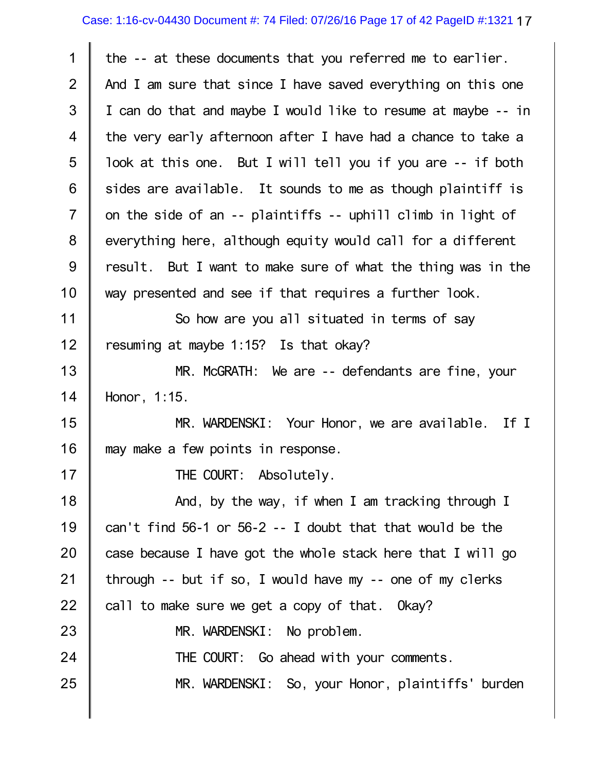## Case: 1:16-cv-04430 Document #: 74 Filed: 07/26/16 Page 17 of 42 PageID #:1321 17

| the -- at these documents that you referred me to earlier.    |
|---------------------------------------------------------------|
| And I am sure that since I have saved everything on this one  |
| I can do that and maybe I would like to resume at maybe -- in |
| the very early afternoon after I have had a chance to take a  |
| look at this one. But I will tell you if you are -- if both   |
| sides are available. It sounds to me as though plaintiff is   |
| on the side of an -- plaintiffs -- uphill climb in light of   |
| everything here, although equity would call for a different   |
| result. But I want to make sure of what the thing was in the  |
| way presented and see if that requires a further look.        |
| So how are you all situated in terms of say                   |
| resuming at maybe 1:15? Is that okay?                         |
| MR. McGRATH: We are -- defendants are fine, your              |
| Honor, 1:15.                                                  |
| MR. WARDENSKI: Your Honor, we are available. If I             |
| may make a few points in response.                            |
| THE COURT: Absolutely.                                        |
| And, by the way, if when I am tracking through I              |
| can't find $56-1$ or $56-2$ -- I doubt that that would be the |
| case because I have got the whole stack here that I will go   |
| through $-$ but if so, I would have my $-$ one of my clerks   |
| call to make sure we get a copy of that. Okay?                |
| MR. WARDENSKI: No problem.                                    |
| THE COURT: Go ahead with your comments.                       |
| MR. WARDENSKI: So, your Honor, plaintiffs' burden             |
|                                                               |

 $\mathbb{I}$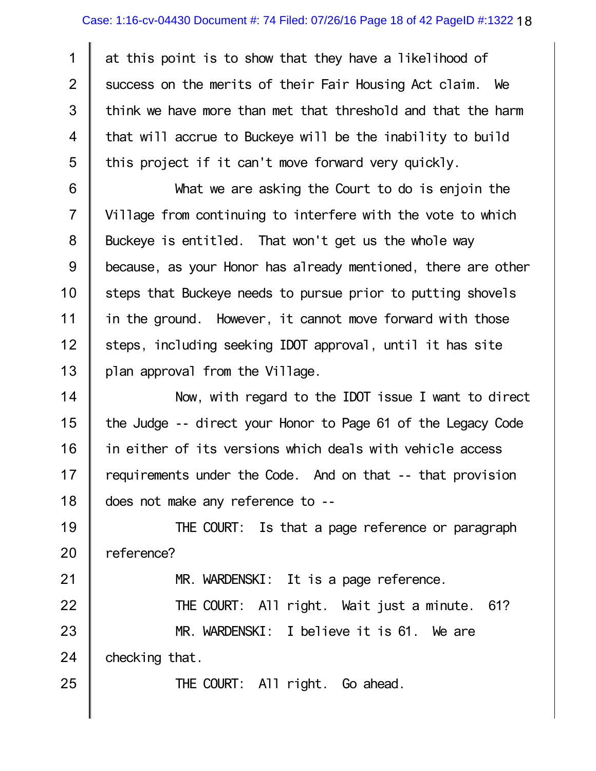1 2 3 4 5 at this point is to show that they have a likelihood of success on the merits of their Fair Housing Act claim. We think we have more than met that threshold and that the harm that will accrue to Buckeye will be the inability to build this project if it can't move forward very quickly.

6 7 8 9 10 11 12 13 What we are asking the Court to do is enjoin the Village from continuing to interfere with the vote to which Buckeye is entitled. That won't get us the whole way because, as your Honor has already mentioned, there are other steps that Buckeye needs to pursue prior to putting shovels in the ground. However, it cannot move forward with those steps, including seeking IDOT approval, until it has site plan approval from the Village.

14 15 16 17 18 Now, with regard to the IDOT issue I want to direct the Judge -- direct your Honor to Page 61 of the Legacy Code in either of its versions which deals with vehicle access requirements under the Code. And on that -- that provision does not make any reference to --

19 20 THE COURT: Is that a page reference or paragraph reference?

MR. WARDENSKI: It is a page reference.

22 23 24 THE COURT: All right. Wait just a minute. 61? MR. WARDENSKI: I believe it is 61. We are checking that.

21

25

THE COURT: All right. Go ahead.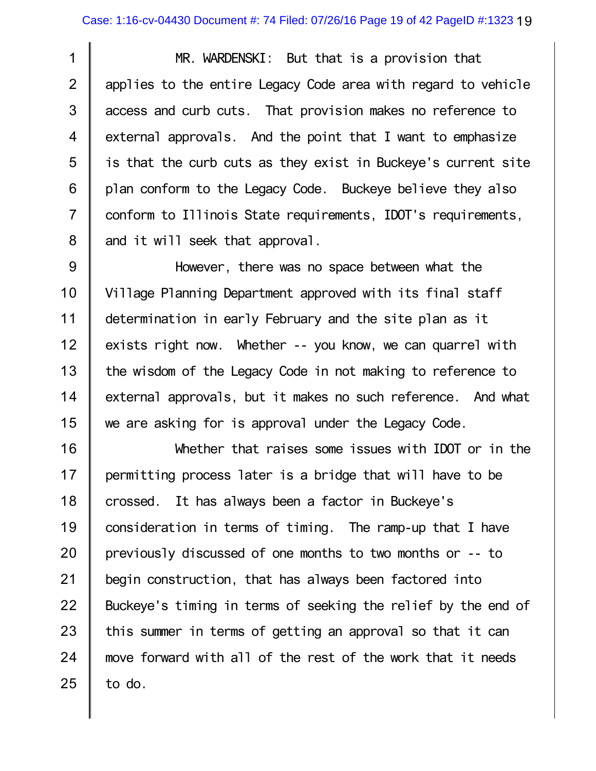1 2 3 4 5 6 7 8 MR. WARDENSKI: But that is a provision that applies to the entire Legacy Code area with regard to vehicle access and curb cuts. That provision makes no reference to external approvals. And the point that I want to emphasize is that the curb cuts as they exist in Buckeye's current site plan conform to the Legacy Code. Buckeye believe they also conform to Illinois State requirements, IDOT's requirements, and it will seek that approval.

9 10 11 12 13 14 15 However, there was no space between what the Village Planning Department approved with its final staff determination in early February and the site plan as it exists right now. Whether -- you know, we can quarrel with the wisdom of the Legacy Code in not making to reference to external approvals, but it makes no such reference. And what we are asking for is approval under the Legacy Code.

16 17 18 19 20 21 22 23 24 25 Whether that raises some issues with IDOT or in the permitting process later is a bridge that will have to be crossed. It has always been a factor in Buckeye's consideration in terms of timing. The ramp-up that I have previously discussed of one months to two months or -- to begin construction, that has always been factored into Buckeye's timing in terms of seeking the relief by the end of this summer in terms of getting an approval so that it can move forward with all of the rest of the work that it needs to do.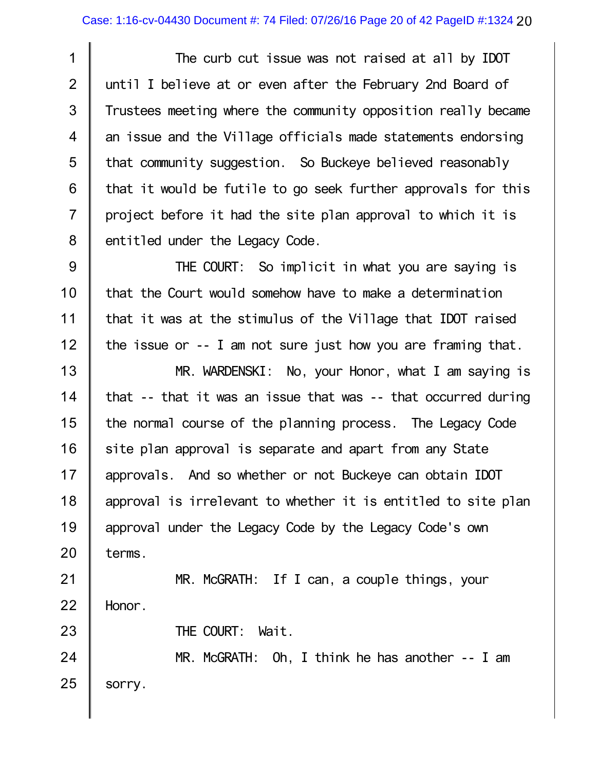1 2 3 4 5 6 7 8 The curb cut issue was not raised at all by IDOT until I believe at or even after the February 2nd Board of Trustees meeting where the community opposition really became an issue and the Village officials made statements endorsing that community suggestion. So Buckeye believed reasonably that it would be futile to go seek further approvals for this project before it had the site plan approval to which it is entitled under the Legacy Code.

9 10 11 12 THE COURT: So implicit in what you are saying is that the Court would somehow have to make a determination that it was at the stimulus of the Village that IDOT raised the issue or -- I am not sure just how you are framing that.

13 14 15 16 17 18 19 20 MR. WARDENSKI: No, your Honor, what I am saying is that -- that it was an issue that was -- that occurred during the normal course of the planning process. The Legacy Code site plan approval is separate and apart from any State approvals. And so whether or not Buckeye can obtain IDOT approval is irrelevant to whether it is entitled to site plan approval under the Legacy Code by the Legacy Code's own terms.

21 22 MR. McGRATH: If I can, a couple things, your Honor.

THE COURT: Wait.

23

24 25 MR. McGRATH: Oh, I think he has another -- I am sorry.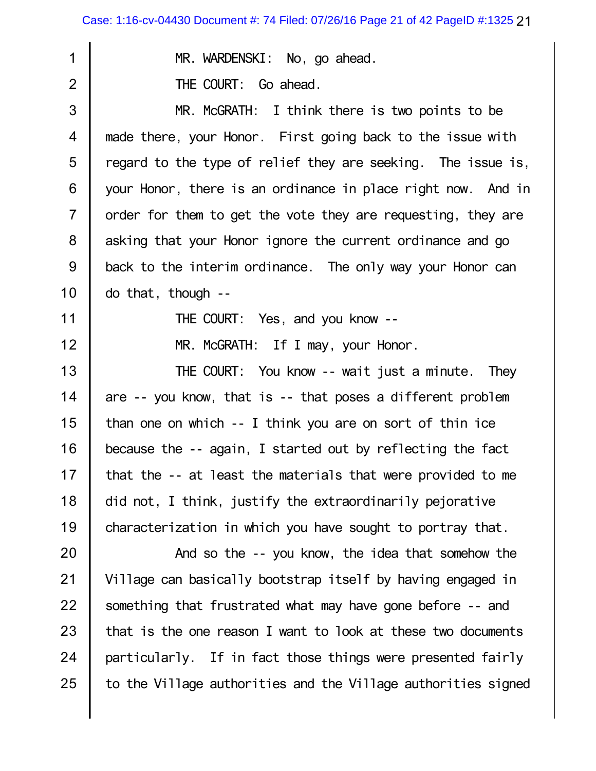| 1                        | MR. WARDENSKI: No, go ahead.                                  |
|--------------------------|---------------------------------------------------------------|
| $\overline{2}$           | THE COURT: Go ahead.                                          |
| 3                        | MR. McGRATH: I think there is two points to be                |
| $\overline{\mathcal{A}}$ | made there, your Honor. First going back to the issue with    |
| 5                        | regard to the type of relief they are seeking. The issue is,  |
| 6                        | your Honor, there is an ordinance in place right now. And in  |
| $\overline{7}$           | order for them to get the vote they are requesting, they are  |
| 8                        | asking that your Honor ignore the current ordinance and go    |
| 9                        | back to the interim ordinance. The only way your Honor can    |
| 10                       | $do that, though --$                                          |
| 11                       | THE COURT: Yes, and you know --                               |
| 12                       | MR. McGRATH: If I may, your Honor.                            |
| 13                       | THE COURT: You know -- wait just a minute. They               |
| 14                       | are -- you know, that is -- that poses a different problem    |
| 15                       | than one on which -- I think you are on sort of thin ice      |
| 16                       | because the -- again, I started out by reflecting the fact    |
| 17                       | that the -- at least the materials that were provided to me   |
| 18                       | did not, I think, justify the extraordinarily pejorative      |
| 19                       | characterization in which you have sought to portray that.    |
| 20                       | And so the -- you know, the idea that somehow the             |
| 21                       | Village can basically bootstrap itself by having engaged in   |
| 22                       | something that frustrated what may have gone before -- and    |
| 23                       | that is the one reason I want to look at these two documents  |
| 24                       | particularly. If in fact those things were presented fairly   |
| 25                       | to the Village authorities and the Village authorities signed |
|                          |                                                               |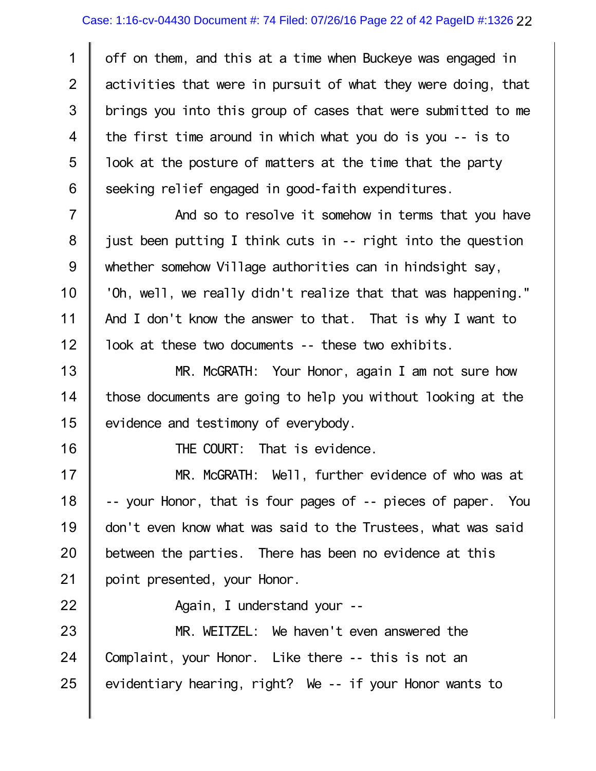1 2 3 4 5 6 off on them, and this at a time when Buckeye was engaged in activities that were in pursuit of what they were doing, that brings you into this group of cases that were submitted to me the first time around in which what you do is you -- is to look at the posture of matters at the time that the party seeking relief engaged in good-faith expenditures.

7 8 9 10 11 12 And so to resolve it somehow in terms that you have just been putting I think cuts in -- right into the question whether somehow Village authorities can in hindsight say, 'Oh, well, we really didn't realize that that was happening." And I don't know the answer to that. That is why I want to look at these two documents -- these two exhibits.

13 14 15 MR. McGRATH: Your Honor, again I am not sure how those documents are going to help you without looking at the evidence and testimony of everybody.

16

22

THE COURT: That is evidence.

17 18 19 20 21 MR. McGRATH: Well, further evidence of who was at -- your Honor, that is four pages of -- pieces of paper. You don't even know what was said to the Trustees, what was said between the parties. There has been no evidence at this point presented, your Honor.

Again, I understand your --

23 24 25 MR. WEITZEL: We haven't even answered the Complaint, your Honor. Like there -- this is not an evidentiary hearing, right? We -- if your Honor wants to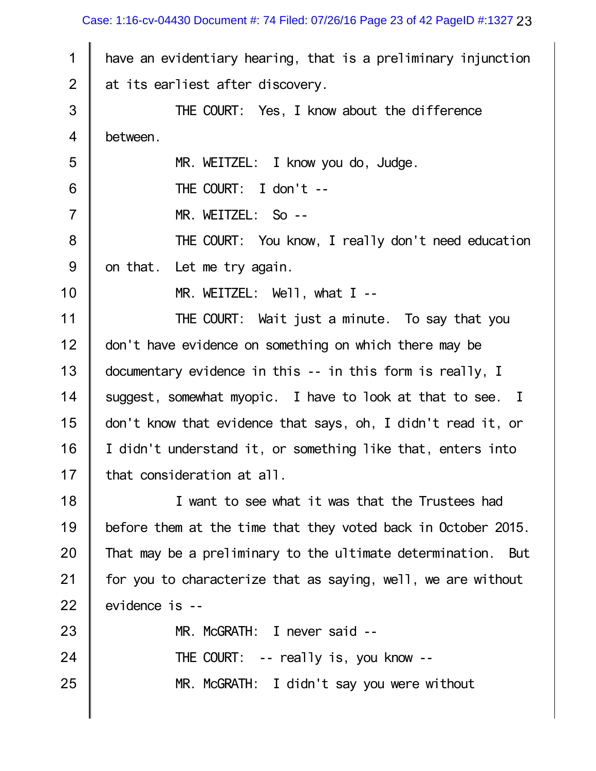Case: 1:16-cv-04430 Document #: 74 Filed: 07/26/16 Page 23 of 42 PageID #:1327 23

| 1              | have an evidentiary hearing, that is a preliminary injunction |
|----------------|---------------------------------------------------------------|
| $\overline{2}$ | at its earliest after discovery.                              |
| 3              | THE COURT: Yes, I know about the difference                   |
| 4              | between.                                                      |
| 5              | MR. WEITZEL: I know you do, Judge.                            |
| 6              | THE COURT: I don't --                                         |
| $\overline{7}$ | MR. WEITZEL: So --                                            |
| 8              | THE COURT: You know, I really don't need education            |
| 9              | on that. Let me try again.                                    |
| 10             | MR. WEITZEL: $We11$ , what I --                               |
| 11             | THE COURT: Wait just a minute. To say that you                |
| 12             | don't have evidence on something on which there may be        |
| 13             | documentary evidence in this -- in this form is really, I     |
| 14             | suggest, somewhat myopic. I have to look at that to see. I    |
| 15             | don't know that evidence that says, oh, I didn't read it, or  |
| 16             | I didn't understand it, or something like that, enters into   |
| 17             | that consideration at all.                                    |
| 18             | I want to see what it was that the Trustees had               |
| 19             | before them at the time that they voted back in October 2015. |
| 20             | That may be a preliminary to the ultimate determination. But  |
| 21             | for you to characterize that as saying, well, we are without  |
| 22             | evidence is --                                                |
| 23             | MR. McGRATH: I never said --                                  |
| 24             | THE COURT: $-$ really is, you know $-$                        |
| 25             | MR. McGRATH: I didn't say you were without                    |
|                |                                                               |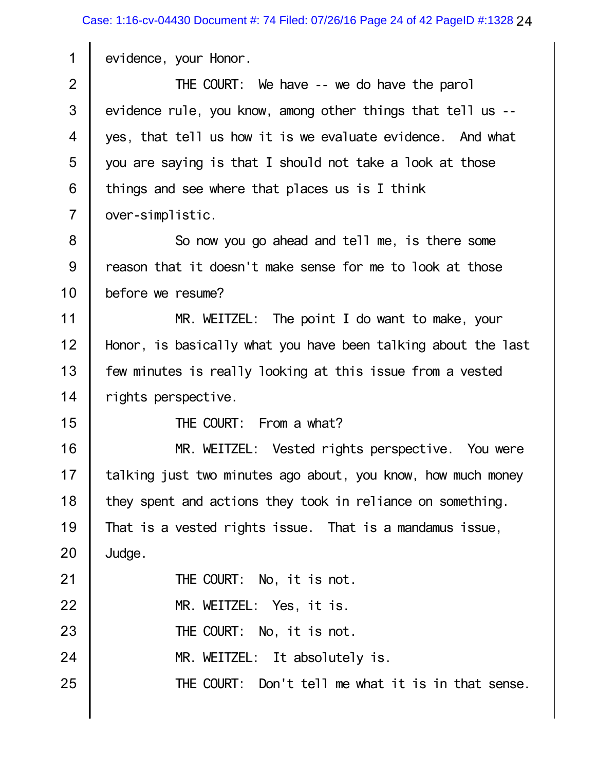evidence, your Honor.

2 3 4 5 6 7 THE COURT: We have -- we do have the parol evidence rule, you know, among other things that tell us - yes, that tell us how it is we evaluate evidence. And what you are saying is that I should not take a look at those things and see where that places us is I think over-simplistic.

8 9 10 So now you go ahead and tell me, is there some reason that it doesn't make sense for me to look at those before we resume?

11 12 13 14 MR. WEITZEL: The point I do want to make, your Honor, is basically what you have been talking about the last few minutes is really looking at this issue from a vested rights perspective.

15

1

THE COURT: From a what?

16 17 18 19 20 MR. WEITZEL: Vested rights perspective. You were talking just two minutes ago about, you know, how much money they spent and actions they took in reliance on something. That is a vested rights issue. That is a mandamus issue, Judge.

21 22 23 24 25 THE COURT: No, it is not. MR. WEITZEL: Yes, it is. THE COURT: No, it is not. MR. WEITZEL: It absolutely is. THE COURT: Don't tell me what it is in that sense.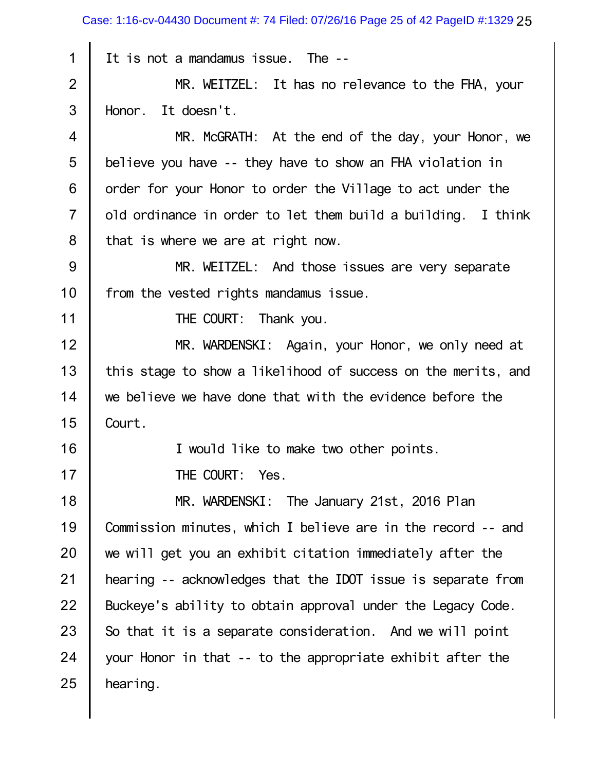1 2 3 4 5 6 7 8 9 10 11 12 13 14 15 16 17 18 19 20 21 22 23 24 Case: 1:16-cv-04430 Document #: 74 Filed: 07/26/16 Page 25 of 42 PageID #:1329 25 It is not a mandamus issue. The -- MR. WEITZEL: It has no relevance to the FHA, your Honor. It doesn't. MR. McGRATH: At the end of the day, your Honor, we believe you have -- they have to show an FHA violation in order for your Honor to order the Village to act under the old ordinance in order to let them build a building. I think that is where we are at right now. MR. WEITZEL: And those issues are very separate from the vested rights mandamus issue. THE COURT: Thank you. MR. WARDENSKI: Again, your Honor, we only need at this stage to show a likelihood of success on the merits, and we believe we have done that with the evidence before the Court. I would like to make two other points. THE COURT: Yes. MR. WARDENSKI: The January 21st, 2016 Plan Commission minutes, which I believe are in the record -- and we will get you an exhibit citation immediately after the hearing -- acknowledges that the IDOT issue is separate from Buckeye's ability to obtain approval under the Legacy Code. So that it is a separate consideration. And we will point your Honor in that -- to the appropriate exhibit after the

25

hearing.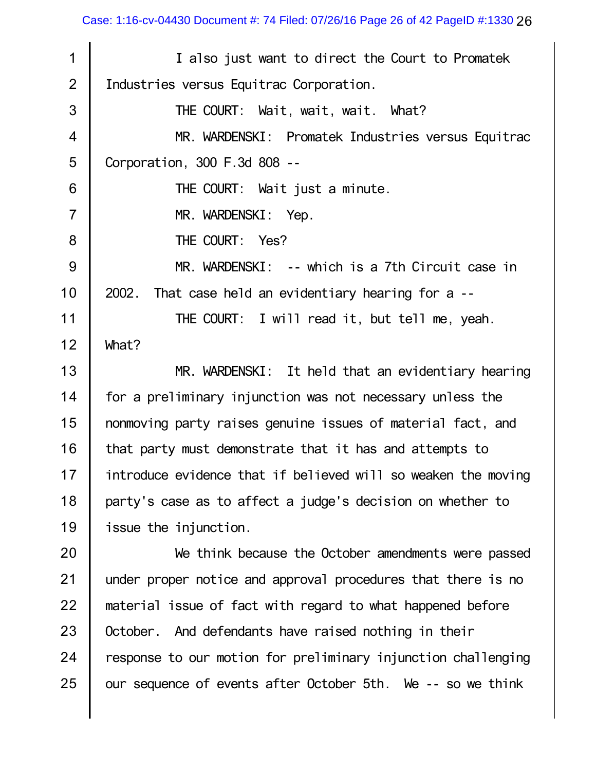26 Case: 1:16-cv-04430 Document #: 74 Filed: 07/26/16 Page 26 of 42 PageID #:1330

| 1              | I also just want to direct the Court to Promatek              |
|----------------|---------------------------------------------------------------|
| $\overline{2}$ | Industries versus Equitrac Corporation.                       |
| 3              | THE COURT: Wait, wait, wait. What?                            |
| $\overline{4}$ | MR. WARDENSKI: Promatek Industries versus Equitrac            |
| 5              | Corporation, 300 F.3d 808 --                                  |
| 6              | THE COURT: Wait just a minute.                                |
| $\overline{7}$ | MR. WARDENSKI: Yep.                                           |
| 8              | THE COURT: Yes?                                               |
| $9\,$          | MR. WARDENSKI: -- which is a 7th Circuit case in              |
| 10             | That case held an evidentiary hearing for a --<br>2002.       |
| 11             | THE COURT: I will read it, but tell me, yeah.                 |
| 12             | What?                                                         |
| 13             | MR. WARDENSKI: It held that an evidentiary hearing            |
| 14             | for a preliminary injunction was not necessary unless the     |
| 15             | nonmoving party raises genuine issues of material fact, and   |
| 16             | that party must demonstrate that it has and attempts to       |
| 17             | introduce evidence that if believed will so weaken the moving |
| 18             | party's case as to affect a judge's decision on whether to    |
| 19             | issue the injunction.                                         |
| 20             | We think because the October amendments were passed           |
| 21             | under proper notice and approval procedures that there is no  |
| 22             | material issue of fact with regard to what happened before    |
| 23             | October. And defendants have raised nothing in their          |
| 24             | response to our motion for preliminary injunction challenging |
| 25             | our sequence of events after October 5th. We -- so we think   |
|                |                                                               |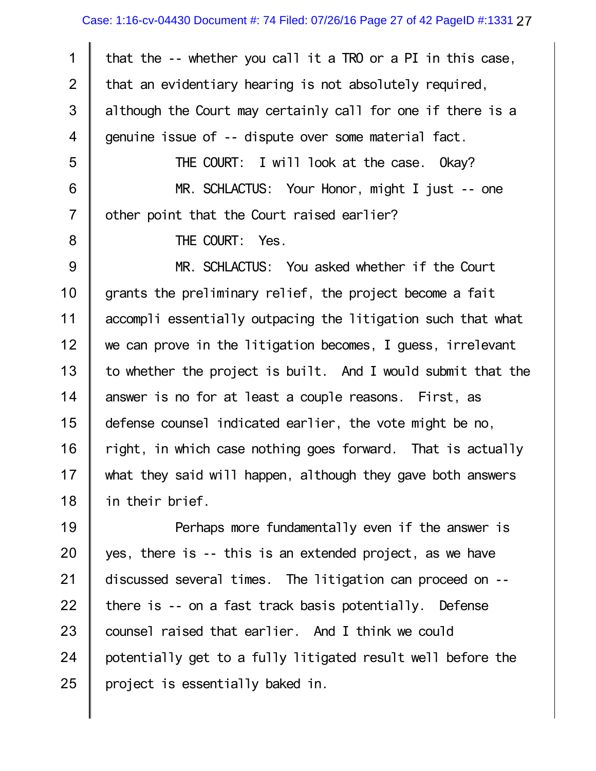1 2 3 4 5 6 7 8 9 10 11 12 13 14 15 16 17 18 19 that the -- whether you call it a TRO or a PI in this case, that an evidentiary hearing is not absolutely required, although the Court may certainly call for one if there is a genuine issue of -- dispute over some material fact. THE COURT: I will look at the case. Okay? MR. SCHLACTUS: Your Honor, might I just -- one other point that the Court raised earlier? THE COURT: Yes. MR. SCHLACTUS: You asked whether if the Court grants the preliminary relief, the project become a fait accompli essentially outpacing the litigation such that what we can prove in the litigation becomes, I guess, irrelevant to whether the project is built. And I would submit that the answer is no for at least a couple reasons. First, as defense counsel indicated earlier, the vote might be no, right, in which case nothing goes forward. That is actually what they said will happen, although they gave both answers in their brief. Perhaps more fundamentally even if the answer is

20 21 22 23 24 25 yes, there is -- this is an extended project, as we have discussed several times. The litigation can proceed on - there is -- on a fast track basis potentially. Defense counsel raised that earlier. And I think we could potentially get to a fully litigated result well before the project is essentially baked in.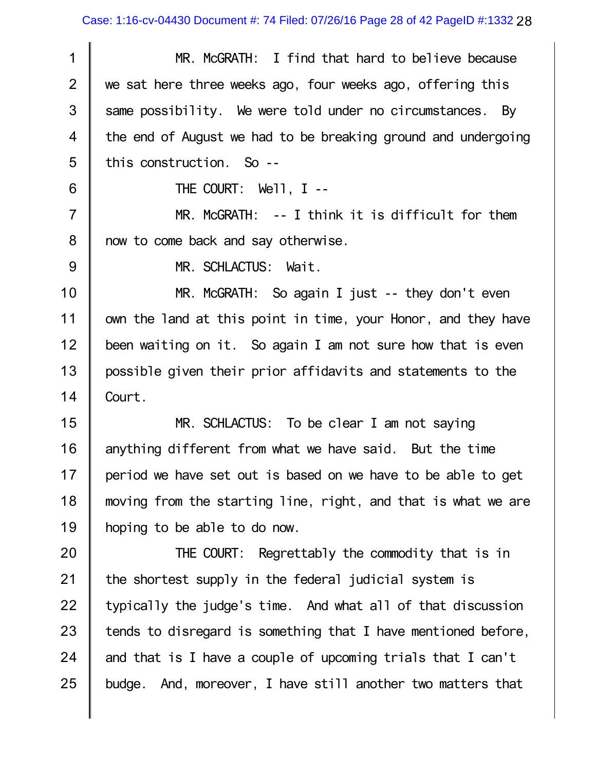28 Case: 1:16-cv-04430 Document #: 74 Filed: 07/26/16 Page 28 of 42 PageID #:1332

1 2 3 4 5 6 7 8 9 10 11 12 13 14 15 16 17 18 19 20 21 22 23 24 MR. McGRATH: I find that hard to believe because we sat here three weeks ago, four weeks ago, offering this same possibility. We were told under no circumstances. By the end of August we had to be breaking ground and undergoing this construction. So -- THE COURT: Well, I -- MR. McGRATH: -- I think it is difficult for them now to come back and say otherwise. MR. SCHLACTUS: Wait. MR. McGRATH: So again I just -- they don't even own the land at this point in time, your Honor, and they have been waiting on it. So again I am not sure how that is even possible given their prior affidavits and statements to the Court. MR. SCHLACTUS: To be clear I am not saying anything different from what we have said. But the time period we have set out is based on we have to be able to get moving from the starting line, right, and that is what we are hoping to be able to do now. THE COURT: Regrettably the commodity that is in the shortest supply in the federal judicial system is typically the judge's time. And what all of that discussion tends to disregard is something that I have mentioned before, and that is I have a couple of upcoming trials that I can't

25 budge. And, moreover, I have still another two matters that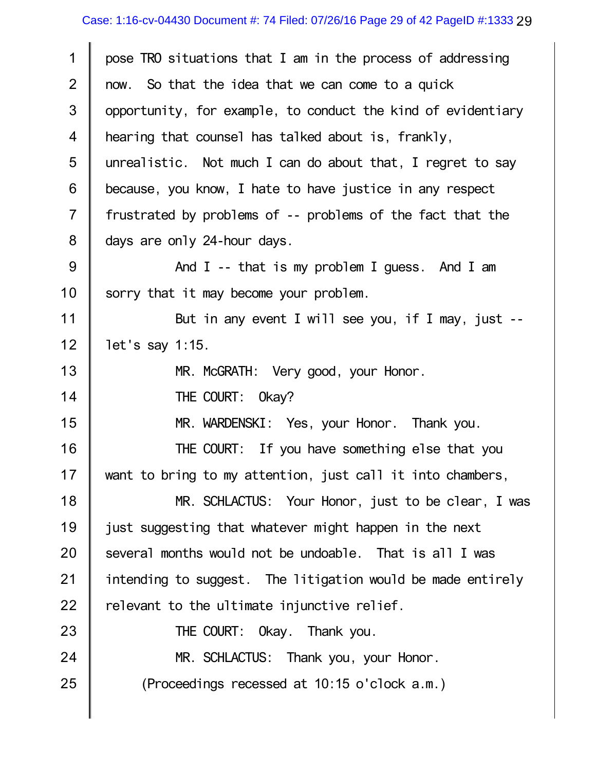| 1              | pose TRO situations that I am in the process of addressing   |
|----------------|--------------------------------------------------------------|
| $\overline{2}$ | now. So that the idea that we can come to a quick            |
| $\mathfrak{S}$ | opportunity, for example, to conduct the kind of evidentiary |
| 4              | hearing that counsel has talked about is, frankly,           |
| 5              | unrealistic. Not much I can do about that, I regret to say   |
| 6              | because, you know, I hate to have justice in any respect     |
| $\overline{7}$ | frustrated by problems of -- problems of the fact that the   |
| $8\phantom{1}$ | days are only 24-hour days.                                  |
| $9\,$          | And $I$ -- that is my problem I guess. And I am              |
| 10             | sorry that it may become your problem.                       |
| 11             | But in any event I will see you, if I may, just --           |
| 12             | let's say 1:15.                                              |
| 13             | MR. McGRATH: Very good, your Honor.                          |
| 14             | THE COURT: Okay?                                             |
| 15             | MR. WARDENSKI: Yes, your Honor. Thank you.                   |
| 16             | THE COURT: If you have something else that you               |
| 17             | want to bring to my attention, just call it into chambers,   |
| 18             | MR. SCHLACTUS: Your Honor, just to be clear, I was           |
| 19             | just suggesting that whatever might happen in the next       |
| 20             | several months would not be undoable. That is all I was      |
| 21             | intending to suggest. The litigation would be made entirely  |
| 22             | relevant to the ultimate injunctive relief.                  |
| 23             | THE COURT: Okay. Thank you.                                  |
| 24             | MR. SCHLACTUS: Thank you, your Honor.                        |
| 25             | (Proceedings recessed at 10:15 o'clock a.m.)                 |
|                |                                                              |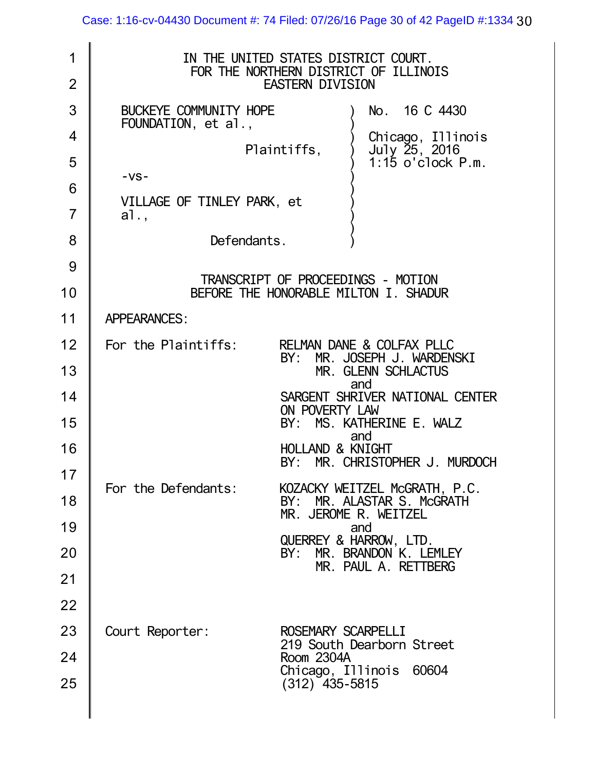| 1<br>$\overline{2}$ | IN THE UNITED STATES DISTRICT COURT.<br>FOR THE NORTHERN DISTRICT OF ILLINOIS<br><b>EASTERN DIVISION</b> |  |
|---------------------|----------------------------------------------------------------------------------------------------------|--|
| 3                   | BUCKEYE COMMUNITY HOPE<br>No. 16 C 4430                                                                  |  |
| 4                   | FOUNDATION, et al.,<br>Chicago, Illinois                                                                 |  |
| 5                   | July 25, 2016<br>Plaintiffs,<br>$1:15$ o'clock $P.m.$                                                    |  |
| 6                   | $-VS -$                                                                                                  |  |
| $\overline{7}$      | VILLAGE OF TINLEY PARK, et<br>a1.,                                                                       |  |
| 8                   | Defendants.                                                                                              |  |
| 9                   |                                                                                                          |  |
| 10                  | TRANSCRIPT OF PROCEEDINGS - MOTION<br>BEFORE THE HONORABLE MILTON I. SHADUR                              |  |
| 11                  | <b>APPEARANCES:</b>                                                                                      |  |
| 12                  | RELMAN DANE & COLFAX PLLC<br>For the Plaintiffs:                                                         |  |
| 13                  | MR. JOSEPH J. WARDENSKI<br>BY:<br>MR. GLENN SCHLACTUS                                                    |  |
| 14                  | and<br>SARGENT SHRIVER NATIONAL CENTER                                                                   |  |
| 15                  | ON POVERTY LAW<br>BY: MS. KATHERINE E. WALZ                                                              |  |
| 16                  | and<br><b>HOLLAND &amp; KNIGHT</b><br>BY: MR. CHRISTOPHER J. MURDOCH                                     |  |
| 17                  | For the Defendants:                                                                                      |  |
| 18                  | KOZACKY WEITZEL McGRATH, P.C.<br>MR. ALASTAR S. McGRATH<br>BY:<br>MR. JEROME R. WEITZEL                  |  |
| 19                  | and<br>QUERREY & HARROW, LTD.                                                                            |  |
| 20                  | MR. BRANDON K. LEMLEY<br>BY:<br>MR. PAUL A. RETTBERG                                                     |  |
| 21                  |                                                                                                          |  |
| 22                  |                                                                                                          |  |
| 23                  | Court Reporter:<br>ROSEMARY SCARPELLI<br>219 South Dearborn Street                                       |  |
| 24                  | Room 2304A                                                                                               |  |
| 25                  | Chicago, Illinois 60604<br>$(312)$ 435-5815                                                              |  |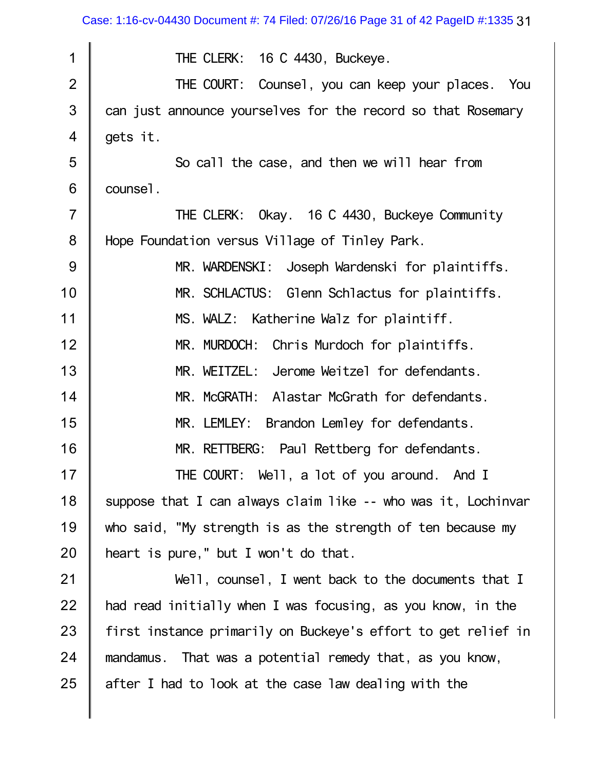Case: 1:16-cv-04430 Document #: 74 Filed: 07/26/16 Page 31 of 42 PageID #:1335 31

| 1              | THE CLERK: 16 C 4430, Buckeye.                                |
|----------------|---------------------------------------------------------------|
| $\overline{2}$ | THE COURT: Counsel, you can keep your places. You             |
| 3              | can just announce yourselves for the record so that Rosemary  |
| $\overline{4}$ | gets it.                                                      |
| 5              | So call the case, and then we will hear from                  |
| 6              | counsel.                                                      |
| $\overline{7}$ | THE CLERK: Okay. 16 C 4430, Buckeye Community                 |
| 8              | Hope Foundation versus Village of Tinley Park.                |
| 9              | MR. WARDENSKI: Joseph Wardenski for plaintiffs.               |
| 10             | MR. SCHLACTUS: Glenn Schlactus for plaintiffs.                |
| 11             | MS. WALZ: Katherine Walz for plaintiff.                       |
| 12             | MR. MURDOCH:<br>Chris Murdoch for plaintiffs.                 |
| 13             | MR. WEITZEL: Jerome Weitzel for defendants.                   |
| 14             | MR. McGRATH: Alastar McGrath for defendants.                  |
| 15             | MR. LEMLEY:<br>Brandon Lemley for defendants.                 |
| 16             | MR. RETTBERG: Paul Rettberg for defendants.                   |
| 17             | THE COURT: Well, a lot of you around. And I                   |
| 18             | suppose that I can always claim like -- who was it, Lochinvar |
| 19             | who said, "My strength is as the strength of ten because my   |
| 20             | heart is pure," but I won't do that.                          |
| 21             | Well, counsel, I went back to the documents that I            |
| 22             | had read initially when I was focusing, as you know, in the   |
| 23             | first instance primarily on Buckeye's effort to get relief in |
| 24             | mandamus. That was a potential remedy that, as you know,      |
| 25             | after I had to look at the case law dealing with the          |
|                |                                                               |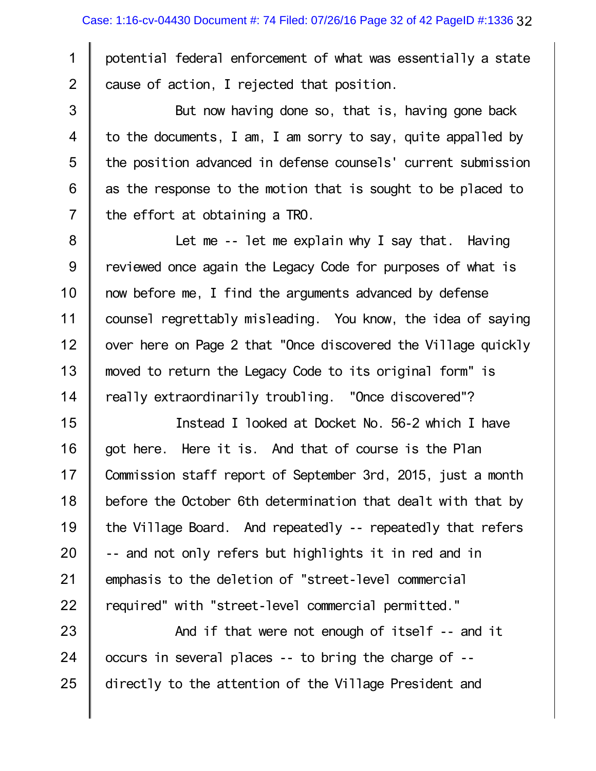1

2

3

4

5

6

7

potential federal enforcement of what was essentially a state cause of action, I rejected that position.

But now having done so, that is, having gone back to the documents, I am, I am sorry to say, quite appalled by the position advanced in defense counsels' current submission as the response to the motion that is sought to be placed to the effort at obtaining a TRO.

8 9 10 11 12 13 14 Let me -- let me explain why I say that. Having reviewed once again the Legacy Code for purposes of what is now before me, I find the arguments advanced by defense counsel regrettably misleading. You know, the idea of saying over here on Page 2 that "Once discovered the Village quickly moved to return the Legacy Code to its original form" is really extraordinarily troubling. "Once discovered"?

15 16 17 18 19 20 21 22 Instead I looked at Docket No. 56-2 which I have got here. Here it is. And that of course is the Plan Commission staff report of September 3rd, 2015, just a month before the October 6th determination that dealt with that by the Village Board. And repeatedly -- repeatedly that refers -- and not only refers but highlights it in red and in emphasis to the deletion of "street-level commercial required" with "street-level commercial permitted."

23 24 25 And if that were not enough of itself -- and it occurs in several places -- to bring the charge of - directly to the attention of the Village President and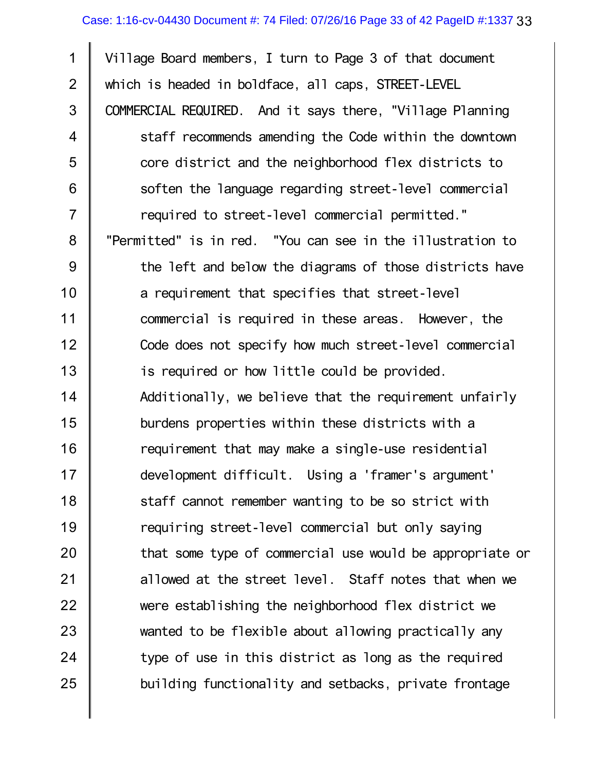1 2 3 4 5 6 7 8 9 10 11 12 13 14 15 16 17 18 19 20 21 22 23 24 25 Village Board members, I turn to Page 3 of that document which is headed in boldface, all caps, STREET-LEVEL COMMERCIAL REQUIRED. And it says there, "Village Planning staff recommends amending the Code within the downtown core district and the neighborhood flex districts to soften the language regarding street-level commercial required to street-level commercial permitted." "Permitted" is in red. "You can see in the illustration to the left and below the diagrams of those districts have a requirement that specifies that street-level commercial is required in these areas. However, the Code does not specify how much street-level commercial is required or how little could be provided. Additionally, we believe that the requirement unfairly burdens properties within these districts with a requirement that may make a single-use residential development difficult. Using a 'framer's argument' staff cannot remember wanting to be so strict with requiring street-level commercial but only saying that some type of commercial use would be appropriate or allowed at the street level. Staff notes that when we were establishing the neighborhood flex district we wanted to be flexible about allowing practically any type of use in this district as long as the required building functionality and setbacks, private frontage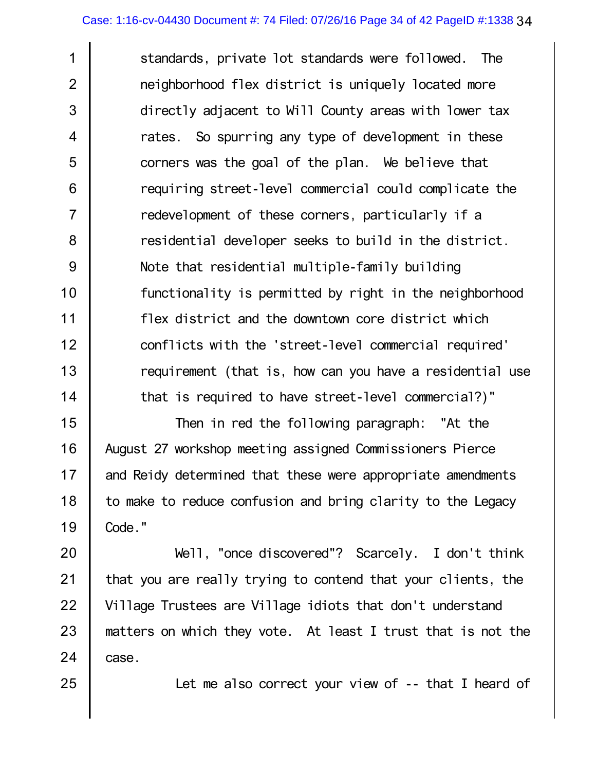1 2 3 4 5 6 7 8 9 10 11 12 13 14 standards, private lot standards were followed. The neighborhood flex district is uniquely located more directly adjacent to Will County areas with lower tax rates. So spurring any type of development in these corners was the goal of the plan. We believe that requiring street-level commercial could complicate the redevelopment of these corners, particularly if a residential developer seeks to build in the district. Note that residential multiple-family building functionality is permitted by right in the neighborhood flex district and the downtown core district which conflicts with the 'street-level commercial required' requirement (that is, how can you have a residential use that is required to have street-level commercial?)"

15 16 17 18 19 Then in red the following paragraph: "At the August 27 workshop meeting assigned Commissioners Pierce and Reidy determined that these were appropriate amendments to make to reduce confusion and bring clarity to the Legacy Code."

20 21 22 23 24 Well, "once discovered"? Scarcely. I don't think that you are really trying to contend that your clients, the Village Trustees are Village idiots that don't understand matters on which they vote. At least I trust that is not the case.

Let me also correct your view of -- that I heard of

25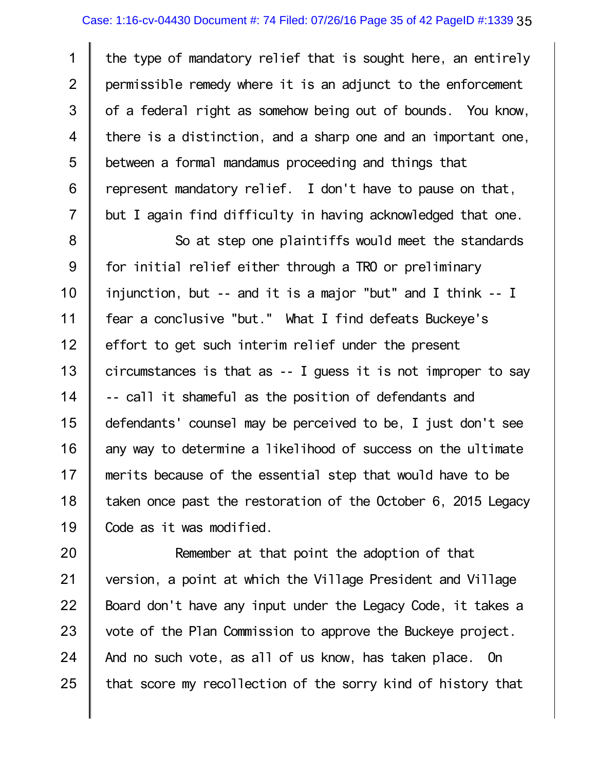1 2 3 4 5 6 7 the type of mandatory relief that is sought here, an entirely permissible remedy where it is an adjunct to the enforcement of a federal right as somehow being out of bounds. You know, there is a distinction, and a sharp one and an important one, between a formal mandamus proceeding and things that represent mandatory relief. I don't have to pause on that, but I again find difficulty in having acknowledged that one.

8 9 10 11 12 13 14 15 16 17 18 19 So at step one plaintiffs would meet the standards for initial relief either through a TRO or preliminary injunction, but -- and it is a major "but" and I think -- I fear a conclusive "but." What I find defeats Buckeye's effort to get such interim relief under the present circumstances is that as -- I guess it is not improper to say -- call it shameful as the position of defendants and defendants' counsel may be perceived to be, I just don't see any way to determine a likelihood of success on the ultimate merits because of the essential step that would have to be taken once past the restoration of the October 6, 2015 Legacy Code as it was modified.

20 21 22 23 24 25 Remember at that point the adoption of that version, a point at which the Village President and Village Board don't have any input under the Legacy Code, it takes a vote of the Plan Commission to approve the Buckeye project. And no such vote, as all of us know, has taken place. On that score my recollection of the sorry kind of history that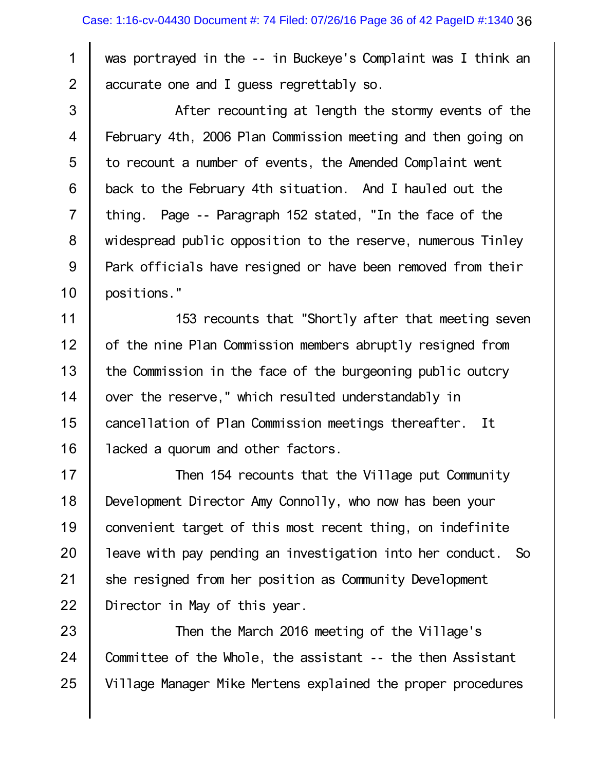was portrayed in the -- in Buckeye's Complaint was I think an accurate one and I guess regrettably so.

1

2

3 4 5 6 7 8 9 10 After recounting at length the stormy events of the February 4th, 2006 Plan Commission meeting and then going on to recount a number of events, the Amended Complaint went back to the February 4th situation. And I hauled out the thing. Page -- Paragraph 152 stated, "In the face of the widespread public opposition to the reserve, numerous Tinley Park officials have resigned or have been removed from their positions."

11 12 13 14 15 16 153 recounts that "Shortly after that meeting seven of the nine Plan Commission members abruptly resigned from the Commission in the face of the burgeoning public outcry over the reserve," which resulted understandably in cancellation of Plan Commission meetings thereafter. It lacked a quorum and other factors.

17 18 19 20 21 22 Then 154 recounts that the Village put Community Development Director Amy Connolly, who now has been your convenient target of this most recent thing, on indefinite leave with pay pending an investigation into her conduct. So she resigned from her position as Community Development Director in May of this year.

23 24 25 Then the March 2016 meeting of the Village's Committee of the Whole, the assistant -- the then Assistant Village Manager Mike Mertens explained the proper procedures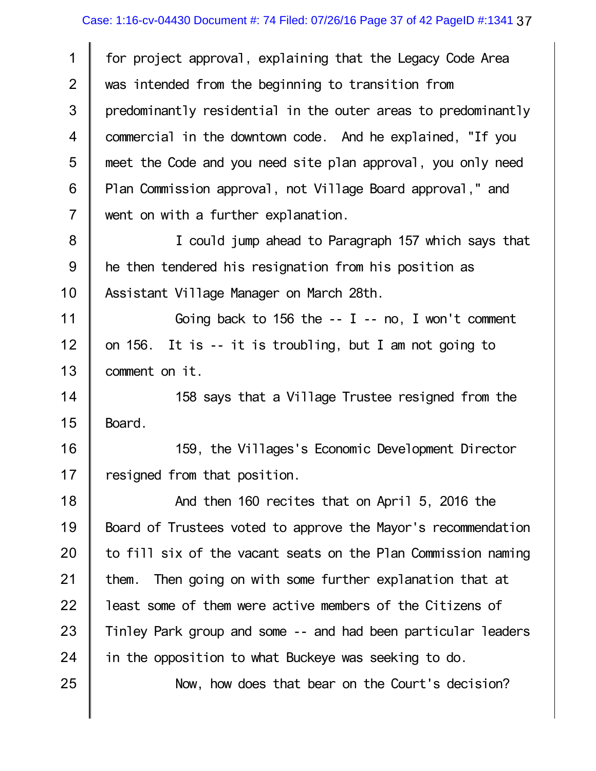| $\mathbf 1$    | for project approval, explaining that the Legacy Code Area    |
|----------------|---------------------------------------------------------------|
| $\overline{2}$ | was intended from the beginning to transition from            |
| 3              | predominantly residential in the outer areas to predominantly |
| $\overline{4}$ | commercial in the downtown code. And he explained, "If you    |
| 5              | meet the Code and you need site plan approval, you only need  |
| 6              | Plan Commission approval, not Village Board approval," and    |
| $\overline{7}$ | went on with a further explanation.                           |
| $\bf 8$        | I could jump ahead to Paragraph 157 which says that           |
| $9\,$          | he then tendered his resignation from his position as         |
| 10             | Assistant Village Manager on March 28th.                      |
| 11             | Going back to 156 the $-$ - I $-$ no, I won't comment         |
| 12             | on 156. It is -- it is troubling, but I am not going to       |
| 13             | comment on it.                                                |
| 14             | 158 says that a Village Trustee resigned from the             |
| 15             | Board.                                                        |
| 16             | 159, the Villages's Economic Development Director             |
| 17             | resigned from that position.                                  |
| 18             | And then 160 recites that on April 5, 2016 the                |
| 19             | Board of Trustees voted to approve the Mayor's recommendation |
| 20             | to fill six of the vacant seats on the Plan Commission naming |
| 21             | them. Then going on with some further explanation that at     |
| 22             | least some of them were active members of the Citizens of     |
| 23             | Tinley Park group and some -- and had been particular leaders |
| 24             | in the opposition to what Buckeye was seeking to do.          |
| 25             | Now, how does that bear on the Court's decision?              |
|                |                                                               |

 $\mathbb{I}$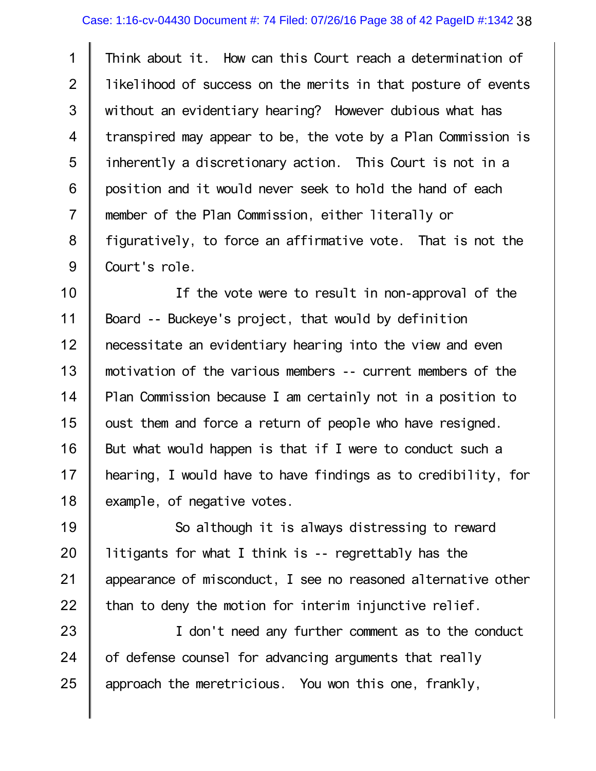1 2 3 4 5 6 7 8 9 Think about it. How can this Court reach a determination of likelihood of success on the merits in that posture of events without an evidentiary hearing? However dubious what has transpired may appear to be, the vote by a Plan Commission is inherently a discretionary action. This Court is not in a position and it would never seek to hold the hand of each member of the Plan Commission, either literally or figuratively, to force an affirmative vote. That is not the Court's role.

10 11 12 13 14 15 16 17 18 If the vote were to result in non-approval of the Board -- Buckeye's project, that would by definition necessitate an evidentiary hearing into the view and even motivation of the various members -- current members of the Plan Commission because I am certainly not in a position to oust them and force a return of people who have resigned. But what would happen is that if I were to conduct such a hearing, I would have to have findings as to credibility, for example, of negative votes.

19 20 21 22 So although it is always distressing to reward litigants for what I think is -- regrettably has the appearance of misconduct, I see no reasoned alternative other than to deny the motion for interim injunctive relief.

23 24 25 I don't need any further comment as to the conduct of defense counsel for advancing arguments that really approach the meretricious. You won this one, frankly,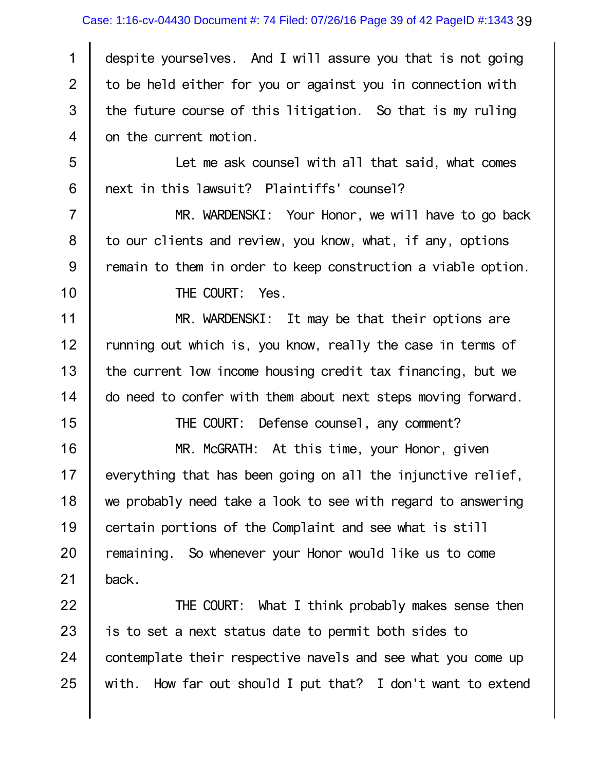## Case: 1:16-cv-04430 Document #: 74 Filed: 07/26/16 Page 39 of 42 PageID #:1343 39

1 2 3 4 despite yourselves. And I will assure you that is not going to be held either for you or against you in connection with the future course of this litigation. So that is my ruling on the current motion.

5 6 Let me ask counsel with all that said, what comes next in this lawsuit? Plaintiffs' counsel?

7 8 9 10 MR. WARDENSKI: Your Honor, we will have to go back to our clients and review, you know, what, if any, options remain to them in order to keep construction a viable option.

THE COURT: Yes.

15

11 12 13 14 MR. WARDENSKI: It may be that their options are running out which is, you know, really the case in terms of the current low income housing credit tax financing, but we do need to confer with them about next steps moving forward.

THE COURT: Defense counsel, any comment?

16 17 18 19 20 21 MR. McGRATH: At this time, your Honor, given everything that has been going on all the injunctive relief, we probably need take a look to see with regard to answering certain portions of the Complaint and see what is still remaining. So whenever your Honor would like us to come back.

22 23 24 25 THE COURT: What I think probably makes sense then is to set a next status date to permit both sides to contemplate their respective navels and see what you come up with. How far out should I put that? I don't want to extend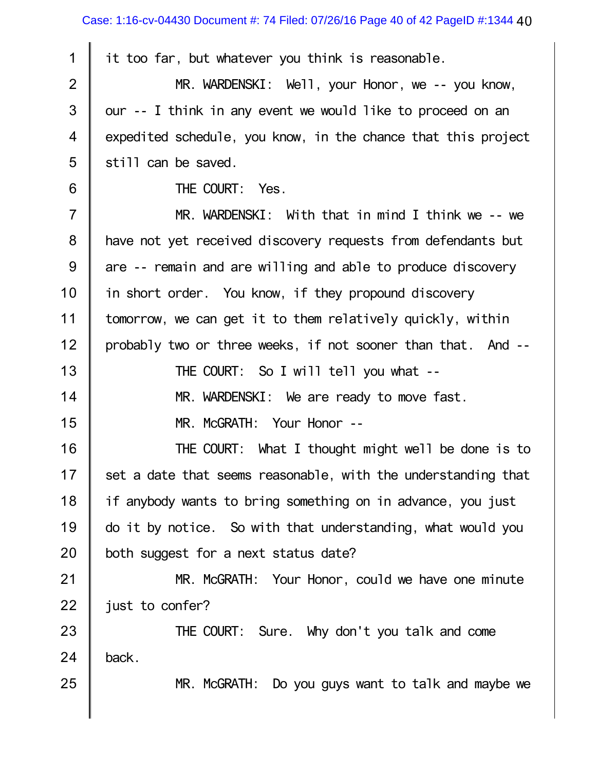| 1              | it too far, but whatever you think is reasonable.             |
|----------------|---------------------------------------------------------------|
| $\overline{2}$ | MR. WARDENSKI: Well, your Honor, we -- you know,              |
| $\mathfrak{S}$ | our -- I think in any event we would like to proceed on an    |
| $\overline{4}$ | expedited schedule, you know, in the chance that this project |
| 5              | still can be saved.                                           |
| 6              | THE COURT: Yes.                                               |
| $\overline{7}$ | MR. WARDENSKI: With that in mind I think we -- we             |
| $\bf 8$        | have not yet received discovery requests from defendants but  |
| $9\,$          | are -- remain and are willing and able to produce discovery   |
| 10             | in short order. You know, if they propound discovery          |
| 11             | tomorrow, we can get it to them relatively quickly, within    |
| 12             | probably two or three weeks, if not sooner than that. And --  |
| 13             | THE COURT: So I will tell you what --                         |
| 14             | MR. WARDENSKI: We are ready to move fast.                     |
| 15             | MR. McGRATH: Your Honor --                                    |
| 16             | THE COURT: What I thought might well be done is to            |
| 17             | set a date that seems reasonable, with the understanding that |
| 18             | if anybody wants to bring something on in advance, you just   |
| 19             | do it by notice. So with that understanding, what would you   |
| 20             | both suggest for a next status date?                          |
| 21             | MR. McGRATH: Your Honor, could we have one minute             |
| 22             | just to confer?                                               |
| 23             | THE COURT: Sure. Why don't you talk and come                  |
| 24             | back.                                                         |
| 25             | MR. McGRATH: Do you guys want to talk and maybe we            |
|                |                                                               |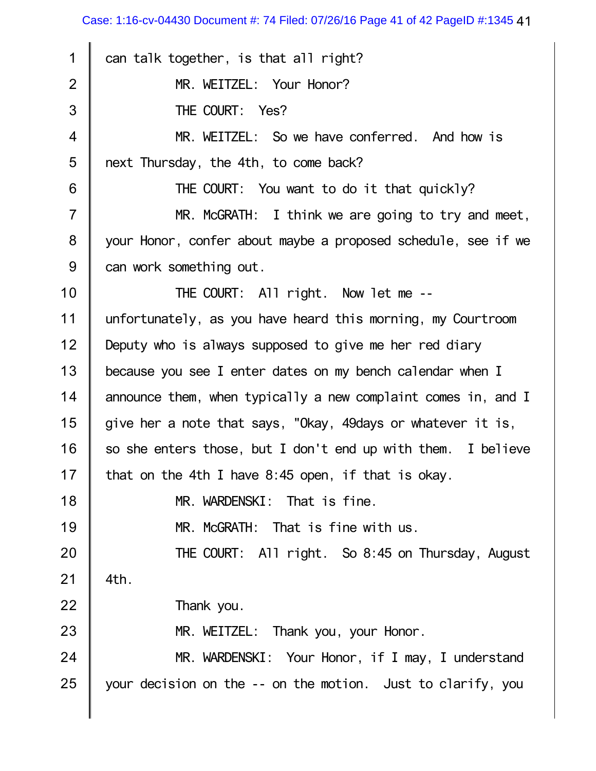Case: 1:16-cv-04430 Document #: 74 Filed: 07/26/16 Page 41 of 42 PageID #:1345 41

| 1              | can talk together, is that all right?                         |
|----------------|---------------------------------------------------------------|
| $\overline{2}$ | MR. WEITZEL: Your Honor?                                      |
| 3              | THE COURT: Yes?                                               |
| $\overline{4}$ | MR. WEITZEL: So we have conferred. And how is                 |
| 5              | next Thursday, the 4th, to come back?                         |
| 6              | THE COURT: You want to do it that quickly?                    |
| $\overline{7}$ | MR. McGRATH: I think we are going to try and meet,            |
| $\bf 8$        | your Honor, confer about maybe a proposed schedule, see if we |
| 9              | can work something out.                                       |
| 10             | THE COURT: All right. Now let me --                           |
| 11             | unfortunately, as you have heard this morning, my Courtroom   |
| 12             | Deputy who is always supposed to give me her red diary        |
| 13             | because you see I enter dates on my bench calendar when I     |
| 14             | announce them, when typically a new complaint comes in, and I |
| 15             | give her a note that says, "Okay, 49days or whatever it is,   |
| 16             | so she enters those, but I don't end up with them. I believe  |
| 17             | that on the 4th I have 8:45 open, if that is okay.            |
| 18             | MR. WARDENSKI: That is fine.                                  |
| 19             | MR. McGRATH: That is fine with us.                            |
| 20             | THE COURT: All right. So 8:45 on Thursday, August             |
| 21             | 4th.                                                          |
| 22             | Thank you.                                                    |
| 23             | MR. WEITZEL: Thank you, your Honor.                           |
| 24             | MR. WARDENSKI: Your Honor, if I may, I understand             |
| 25             | your decision on the -- on the motion. Just to clarify, you   |
|                |                                                               |